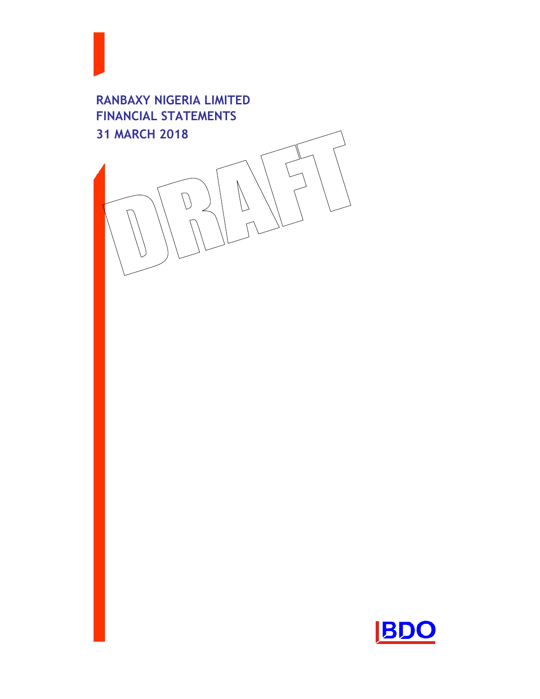**RANBAXY NIGERIA LIMITED FINANCIAL STATEMENTS 31 MARCH 2018**

 $\bigcap$ 

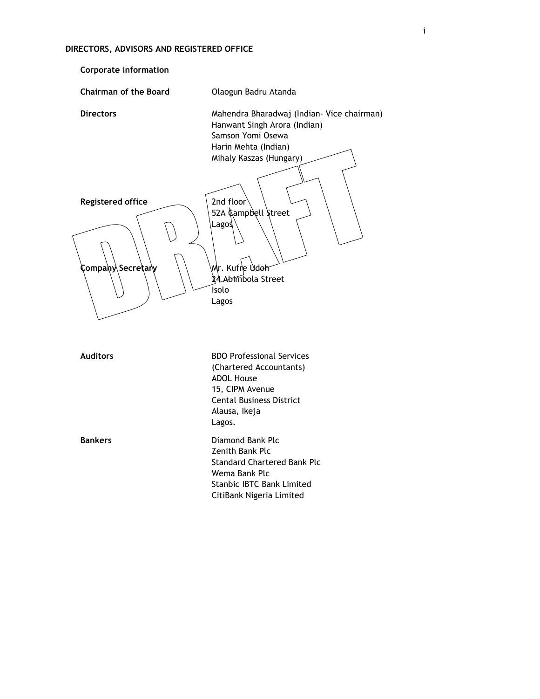**Corporate information Chairman of the Board Olaogun Badru Atanda Directors** Mahendra Bharadwaj (Indian- Vice chairman) Hanwant Singh Arora (Indian) Samson Yomi Osewa Harin Mehta (Indian) Mihaly Kaszas (Hungary) **Registered office** 2nd floor 52A Campbell Street Lagos **Company Secretary Are (Mr. Kufre Udoh** 24 Abimbola Street Isolo Lagos **Auditors** BDO Professional Services (Chartered Accountants) ADOL House 15, CIPM Avenue Cental Business District Alausa, Ikeja Lagos. **Bankers** Diamond Bank Plc Zenith Bank Plc Standard Chartered Bank Plc Wema Bank Plc Stanbic IBTC Bank Limited CitiBank Nigeria Limited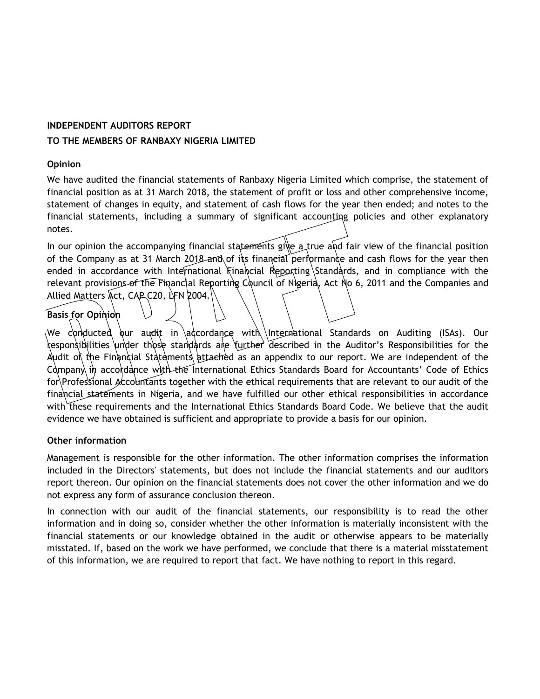# **INDEPENDENT AUDITORS REPORT**

# **TO THE MEMBERS OF RANBAXY NIGERIA LIMITED**

# **Opinion**

We have audited the financial statements of Ranbaxy Nigeria Limited which comprise, the statement of financial position as at 31 March 2018, the statement of profit or loss and other comprehensive income, statement of changes in equity, and statement of cash flows for the year then ended; and notes to the financial statements, including a summary of significant accounting policies and other explanatory notes.

In our opinion the accompanying financial statements give  $a$  true and fair view of the financial position of the Company as at 31 March 2018 and of its finanetal performance and cash flows for the year then ended in accordance with International *Financial Reporting* Standards, and in compliance with the relevant provisions of the Financial Reporting Council of Nigeria, Act No 6, 2011 and the Companies and Allied Matters Act, CAP C20, LFN 2004.

# **Basis for Opinion**

We conducted our audit in accordance with International Standards on Auditing (ISAs). Our responsibilities under those standards are further described in the Auditor's Responsibilities for the Audit of the Financial Statements attached as an appendix to our report. We are independent of the Company in accordance with the International Ethics Standards Board for Accountants' Code of Ethics for Professional Accountants together with the ethical requirements that are relevant to our audit of the financial statements in Nigeria, and we have fulfilled our other ethical responsibilities in accordance with these requirements and the International Ethics Standards Board Code. We believe that the audit evidence we have obtained is sufficient and appropriate to provide a basis for our opinion.

# **Other information**

Management is responsible for the other information. The other information comprises the information included in the Directors' statements, but does not include the financial statements and our auditors report thereon. Our opinion on the financial statements does not cover the other information and we do not express any form of assurance conclusion thereon.

In connection with our audit of the financial statements, our responsibility is to read the other information and in doing so, consider whether the other information is materially inconsistent with the financial statements or our knowledge obtained in the audit or otherwise appears to be materially misstated. If, based on the work we have performed, we conclude that there is a material misstatement of this information, we are required to report that fact. We have nothing to report in this regard.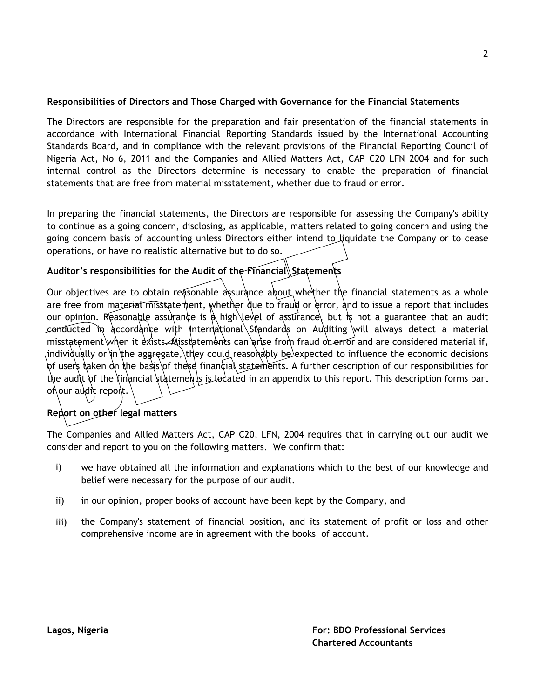# **Responsibilities of Directors and Those Charged with Governance for the Financial Statements**

The Directors are responsible for the preparation and fair presentation of the financial statements in accordance with International Financial Reporting Standards issued by the International Accounting Standards Board, and in compliance with the relevant provisions of the Financial Reporting Council of Nigeria Act, No 6, 2011 and the Companies and Allied Matters Act, CAP C20 LFN 2004 and for such internal control as the Directors determine is necessary to enable the preparation of financial statements that are free from material misstatement, whether due to fraud or error.

In preparing the financial statements, the Directors are responsible for assessing the Company's ability to continue as a going concern, disclosing, as applicable, matters related to going concern and using the going concern basis of accounting unless Directors either intend to liquidate the Company or to cease operations, or have no realistic alternative but to do so.

# Auditor's responsibilities for the Audit of the Financial Statements

Our objectives are to obtain reasonable assurance about whether the financial statements as a whole are free from material misstatement, whether due to fraud or error, and to issue a report that includes our opinion. Reasonable assurance is  $\frac{1}{2}$  high level of assurance, but is not a guarantee that an audit conducted in accordance with International Standards on Auditing will always detect a material misstatement when it exists. Misstatements can arise from fraud or error and are considered material if, individually or in the aggregate, they could reasonably be expected to influence the economic decisions of users taken on the basis of these financial statements. A further description of our responsibilities for the audit of the financial statements is located in an appendix to this report. This description forms part of our audit report.

# **Report on other legal matters**

The Companies and Allied Matters Act, CAP C20, LFN, 2004 requires that in carrying out our audit we consider and report to you on the following matters. We confirm that:

- i) we have obtained all the information and explanations which to the best of our knowledge and belief were necessary for the purpose of our audit.
- ii) in our opinion, proper books of account have been kept by the Company, and
- iii) the Company's statement of financial position, and its statement of profit or loss and other comprehensive income are in agreement with the books of account.

2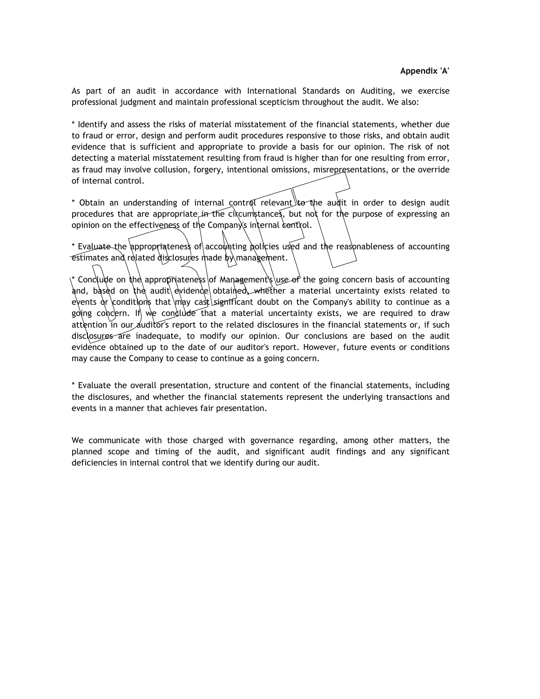As part of an audit in accordance with International Standards on Auditing, we exercise professional judgment and maintain professional scepticism throughout the audit. We also:

\* Identify and assess the risks of material misstatement of the financial statements, whether due to fraud or error, design and perform audit procedures responsive to those risks, and obtain audit evidence that is sufficient and appropriate to provide a basis for our opinion. The risk of not detecting a material misstatement resulting from fraud is higher than for one resulting from error, as fraud may involve collusion, forgery, intentional omissions, misrepresentations, or the override of internal control.

\* Obtain an understanding of internal control relevant to the audit in order to design audit procedures that are appropriate in the cixcumstances, but not for the purpose of expressing an opinion on the effectiveness of the Company's internal control.

\* Evaluate the appropriateness of accounting policies used and the reasonableness of accounting estimates and related disclosures made by management.

Conclude on the appropriateness of Management's use of the going concern basis of accounting and, based on the audit evidence obtained, whether a material uncertainty exists related to events or conditions that may cast significant doubt on the Company's ability to continue as a going concern. If we conclude that a material uncertainty exists, we are required to draw attention in our auditor's report to the related disclosures in the financial statements or, if such disclosures are inadequate, to modify our opinion. Our conclusions are based on the audit evidence obtained up to the date of our auditor's report. However, future events or conditions may cause the Company to cease to continue as a going concern.

\* Evaluate the overall presentation, structure and content of the financial statements, including the disclosures, and whether the financial statements represent the underlying transactions and events in a manner that achieves fair presentation.

We communicate with those charged with governance regarding, among other matters, the planned scope and timing of the audit, and significant audit findings and any significant deficiencies in internal control that we identify during our audit.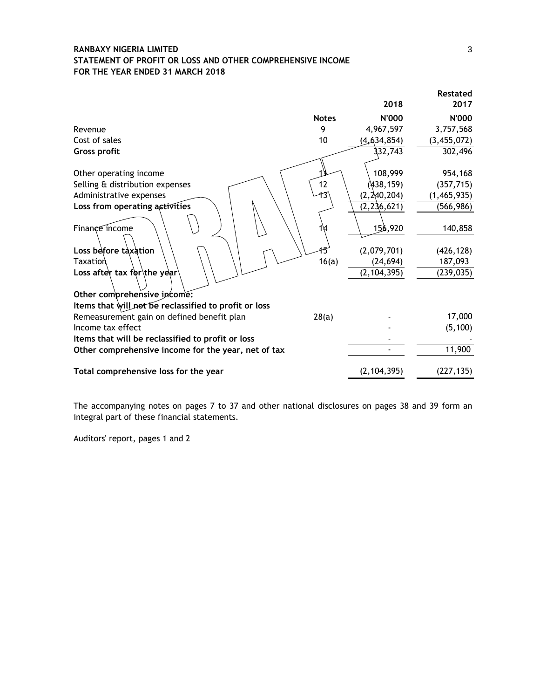## **RANBAXY NIGERIA LIMITED** 3 **STATEMENT OF PROFIT OR LOSS AND OTHER COMPREHENSIVE INCOME FOR THE YEAR ENDED 31 MARCH 2018**

|                                                       |              |               | <b>Restated</b> |
|-------------------------------------------------------|--------------|---------------|-----------------|
|                                                       |              | 2018          | 2017            |
|                                                       | <b>Notes</b> | <b>N'000</b>  | N'000           |
| Revenue                                               | 9            | 4,967,597     | 3,757,568       |
| Cost of sales                                         | 10           | (4, 634, 854) | (3, 455, 072)   |
| <b>Gross profit</b>                                   |              | 332,743       | 302,496         |
|                                                       |              |               |                 |
| Other operating income                                |              | 108,999       | 954,168         |
| Selling & distribution expenses                       | 12           | (438,159)     | (357, 715)      |
| Administrative expenses                               | 13           | (2,240,204)   | (1,465,935)     |
| Loss from operating activities                        |              | (2, 236, 621) | (566,986)       |
|                                                       |              |               |                 |
| Finance income                                        |              | 156,920       | 140,858         |
|                                                       |              |               |                 |
| Loss before taxation                                  |              | (2,079,701)   | (426, 128)      |
| Taxation                                              | 16(a)        | (24, 694)     | 187,093         |
| Loss after tax for the year                           |              | (2, 104, 395) | (239, 035)      |
|                                                       |              |               |                 |
| Other comprehensive income:                           |              |               |                 |
| Items that will not be reclassified to profit or loss |              |               |                 |
| Remeasurement gain on defined benefit plan            | 28(a)        |               | 17,000          |
| Income tax effect                                     |              |               | (5, 100)        |
| Items that will be reclassified to profit or loss     |              |               |                 |
| Other comprehensive income for the year, net of tax   |              |               | 11,900          |
|                                                       |              |               |                 |
| Total comprehensive loss for the year                 |              | (2, 104, 395) | (227, 135)      |

The accompanying notes on pages 7 to 37 and other national disclosures on pages 38 and 39 form an integral part of these financial statements.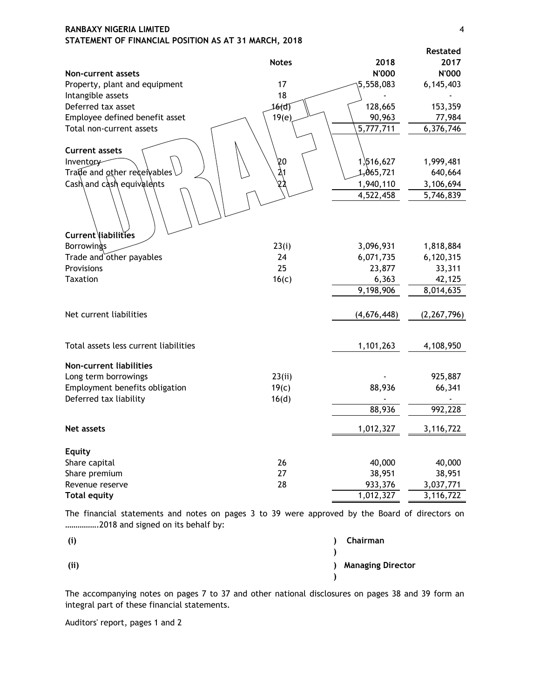| RANBAXY NIGERIA LIMITED                              |  |
|------------------------------------------------------|--|
| STATEMENT OF FINANCIAL POSITION AS AT 31 MARCH, 2018 |  |

|                                       |              |              | <b>Restated</b> |
|---------------------------------------|--------------|--------------|-----------------|
|                                       | <b>Notes</b> | 2018         | 2017            |
| Non-current assets                    |              | <b>N'000</b> | <b>N'000</b>    |
| Property, plant and equipment         | 17           | 5,558,083    | 6,145,403       |
| Intangible assets                     | 18           |              |                 |
| Deferred tax asset                    | 16(f)        | 128,665      | 153,359         |
| Employee defined benefit asset        | 19(e)        | 90,963       | 77,984          |
| Total non-current assets              |              | 5,777,711    | 6,376,746       |
|                                       |              |              |                 |
| <b>Current assets</b>                 |              |              |                 |
| Inventory                             | φQ           | 1,516,627    | 1,999,481       |
| Trade and other receivables           | $\lambda$ 1  | 1,065,721    | 640,664         |
| Cash and cash equivalents             |              | 1,940,110    | 3,106,694       |
|                                       |              | 4,522,458    | 5,746,839       |
|                                       |              |              |                 |
|                                       |              |              |                 |
| Current liabilities                   |              |              |                 |
| <b>Borrowings</b>                     | 23(i)        | 3,096,931    | 1,818,884       |
| Trade and other payables              | 24           | 6,071,735    | 6,120,315       |
| Provisions                            | 25           | 23,877       | 33,311          |
| Taxation                              | 16(c)        | 6,363        | 42,125          |
|                                       |              | 9,198,906    | 8,014,635       |
|                                       |              |              |                 |
| Net current liabilities               |              | (4,676,448)  | (2, 267, 796)   |
|                                       |              |              |                 |
|                                       |              |              |                 |
| Total assets less current liabilities |              | 1,101,263    | 4,108,950       |
|                                       |              |              |                 |
| <b>Non-current liabilities</b>        |              |              |                 |
| Long term borrowings                  | 23(ii)       |              | 925,887         |
| Employment benefits obligation        | 19(c)        | 88,936       | 66,341          |
| Deferred tax liability                | 16(d)        |              |                 |
|                                       |              | 88,936       | 992,228         |
| <b>Net assets</b>                     |              | 1,012,327    | 3,116,722       |
|                                       |              |              |                 |
| Equity                                |              |              |                 |
| Share capital                         | 26           | 40,000       | 40,000          |
| Share premium                         | 27           | 38,951       | 38,951          |
| Revenue reserve                       | 28           | 933,376      | 3,037,771       |
| <b>Total equity</b>                   |              | 1,012,327    | 3,116,722       |
|                                       |              |              |                 |

The financial statements and notes on pages 3 to 39 were approved by the Board of directors on …………….2018 and signed on its behalf by:

| (i) | Chairman                 |
|-----|--------------------------|
| (i) | <b>Managing Director</b> |

The accompanying notes on pages 7 to 37 and other national disclosures on pages 38 and 39 form an integral part of these financial statements.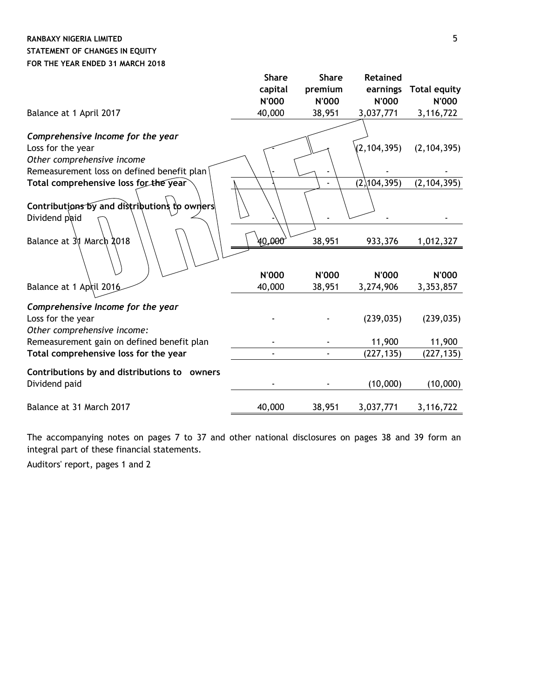# **RANBAXY NIGERIA LIMITED** 5 **STATEMENT OF CHANGES IN EQUITY FOR THE YEAR ENDED 31 MARCH 2018**

|                                                               | <b>Share</b> | <b>Share</b> | <b>Retained</b> |                     |
|---------------------------------------------------------------|--------------|--------------|-----------------|---------------------|
|                                                               | capital      | premium      | earnings        | <b>Total equity</b> |
|                                                               | <b>N'000</b> | N'000        | <b>N'000</b>    | <b>N'000</b>        |
| Balance at 1 April 2017                                       | 40,000       | 38,951       | 3,037,771       | 3,116,722           |
|                                                               |              |              |                 |                     |
| Comprehensive Income for the year                             |              |              |                 |                     |
| Loss for the year                                             |              |              | (2, 104, 395)   | (2, 104, 395)       |
| Other comprehensive income                                    |              |              |                 |                     |
| Remeasurement loss on defined benefit plan                    |              |              |                 |                     |
| Total comprehensive loss for the year                         |              |              | (2), 104, 395)  | (2, 104, 395)       |
|                                                               |              |              |                 |                     |
| Contributions by and distributions to owners                  |              |              |                 |                     |
| Dividend paid                                                 |              |              |                 |                     |
|                                                               |              |              |                 |                     |
| Balance at 31 March 2018                                      | 40,000       | 38,951       | 933,376         | 1,012,327           |
|                                                               |              |              |                 |                     |
|                                                               | <b>N'000</b> | N'000        | N'000           | N'000               |
| Balance at 1 April 2016                                       | 40,000       | 38,951       | 3,274,906       | 3,353,857           |
|                                                               |              |              |                 |                     |
| Comprehensive Income for the year                             |              |              |                 |                     |
| Loss for the year                                             |              |              | (239, 035)      | (239, 035)          |
| Other comprehensive income:                                   |              |              |                 |                     |
| Remeasurement gain on defined benefit plan                    |              |              | 11,900          | 11,900              |
| Total comprehensive loss for the year                         |              |              | (227, 135)      | (227, 135)          |
|                                                               |              |              |                 |                     |
| Contributions by and distributions to owners<br>Dividend paid |              |              |                 |                     |
|                                                               |              |              | (10,000)        | (10,000)            |
| Balance at 31 March 2017                                      | 40,000       | 38,951       | 3,037,771       | 3,116,722           |

The accompanying notes on pages 7 to 37 and other national disclosures on pages 38 and 39 form an integral part of these financial statements.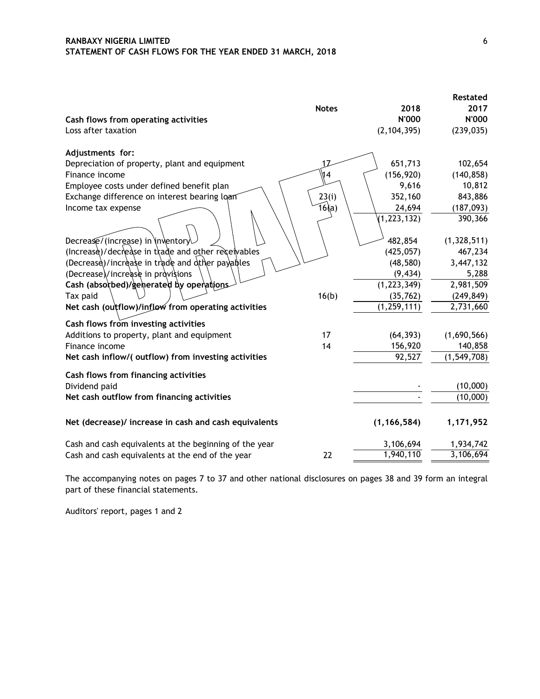## **RANBAXY NIGERIA LIMITED** 6 **STATEMENT OF CASH FLOWS FOR THE YEAR ENDED 31 MARCH, 2018**

|                                                          |                    |               | <b>Restated</b> |
|----------------------------------------------------------|--------------------|---------------|-----------------|
|                                                          | <b>Notes</b>       | 2018          | 2017            |
| Cash flows from operating activities                     |                    | <b>N'000</b>  | N'000           |
| Loss after taxation                                      |                    | (2, 104, 395) | (239, 035)      |
| Adjustments for:                                         |                    |               |                 |
| Depreciation of property, plant and equipment            |                    | 651,713       | 102,654         |
| Finance income                                           | 14                 | (156, 920)    | (140, 858)      |
| Employee costs under defined benefit plan                |                    | 9,616         | 10,812          |
| Exchange difference on interest bearing loan             | 23(i)              | 352,160       | 843,886         |
| Income tax expense                                       | $\widehat{16}$ (a) | 24,694        | (187, 093)      |
|                                                          |                    | (1, 223, 132) | 390,366         |
| Decrease/(increase) in inventory                         |                    | 482,854       | (1,328,511)     |
| $(Increasing)/dec$ esteed in thade and other receivables |                    | (425, 057)    | 467,234         |
| (Decrease)/increase in trade and other payables          |                    | (48, 580)     | 3,447,132       |
| (Decrease)/increase in provisions                        |                    | (9, 434)      | 5,288           |
| Cash (absorbed)/generated by operations                  |                    | (1, 223, 349) | 2,981,509       |
| Tax paid                                                 | 16(b)              | (35, 762)     | (249, 849)      |
| Net cash (outflow)/inflow from operating activities      |                    | (1, 259, 111) | 2,731,660       |
| Cash flows from investing activities                     |                    |               |                 |
| Additions to property, plant and equipment               | 17                 | (64, 393)     | (1,690,566)     |
| Finance income                                           | 14                 | 156,920       | 140,858         |
| Net cash inflow/(outflow) from investing activities      |                    | 92,527        | (1, 549, 708)   |
| Cash flows from financing activities                     |                    |               |                 |
| Dividend paid                                            |                    |               | (10,000)        |
| Net cash outflow from financing activities               |                    |               | (10,000)        |
| Net (decrease)/ increase in cash and cash equivalents    |                    | (1, 166, 584) | 1,171,952       |
| Cash and cash equivalents at the beginning of the year   |                    | 3,106,694     | 1,934,742       |
| Cash and cash equivalents at the end of the year         | 22                 | 1,940,110     | 3,106,694       |

The accompanying notes on pages 7 to 37 and other national disclosures on pages 38 and 39 form an integral part of these financial statements.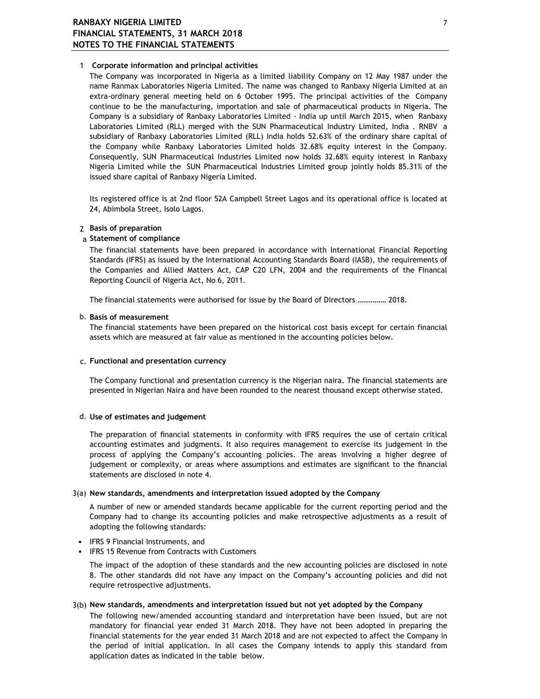#### 1 **Corporate information and principal activities**

The Company was incorporated in Nigeria as a limited liability Company on 12 May 1987 under the name Ranmax Laboratories Nigeria Limited. The name was changed to Ranbaxy Nigeria Limited at an extra-ordinary general meeting held on 6 October 1995. The principal activities of the Company continue to be the manufacturing, importation and sale of pharmaceutical products in Nigeria. The Company is a subsidiary of Ranbaxy Laboratories Limited - India up until March 2015, when Ranbaxy Laboratories Limited (RLL) merged with the SUN Pharmaceutical Industry Limited, India . RNBV a subsidiary of Ranbaxy Laboratories Limited (RLL) India holds 52.63% of the ordinary share capital of the Company while Ranbaxy Laboratories Limited holds 32.68% equity interest in the Company. Consequently, SUN Pharmaceutical Industries Limited now holds 32.68% equity interest in Ranbaxy Nigeria Limited while the SUN Pharmaceutical Industries Limited group jointly holds 85.31% of the issued share capital of Ranbaxy Nigeria Limited.

Its registered office is at 2nd floor 52A Campbell Street Lagos and its operational office is located at 24, Abimbola Street, Isolo Lagos.

#### 2 **Basis of preparation**

#### a **Statement of compliance**

The financial statements have been prepared in accordance with International Financial Reporting Standards (IFRS) as issued by the International Accounting Standards Board (IASB), the requirements of the Companies and Allied Matters Act, CAP C20 LFN, 2004 and the requirements of the Financal Reporting Council of Nigeria Act, No 6, 2011.

The financial statements were authorised for issue by the Board of Directors …………… 2018.

#### b. **Basis of measurement**

The financial statements have been prepared on the historical cost basis except for certain financial assets which are measured at fair value as mentioned in the accounting policies below.

#### c. **Functional and presentation currency**

The Company functional and presentation currency is the Nigerian naira. The financial statements are presented in Nigerian Naira and have been rounded to the nearest thousand except otherwise stated.

#### d. **Use of estimates and judgement**

The preparation of financial statements in conformity with IFRS requires the use of certain critical accounting estimates and judgments. It also requires management to exercise its judgement in the process of applying the Company's accounting policies. The areas involving a higher degree of judgement or complexity, or areas where assumptions and estimates are significant to the financial statements are disclosed in note 4.

#### 3(a) **New standards, amendments and interpretation issued adopted by the Company**

A number of new or amended standards became applicable for the current reporting period and the Company had to change its accounting policies and make retrospective adjustments as a result of adopting the following standards:

- IFRS 9 Financial Instruments, and
- IFRS 15 Revenue from Contracts with Customers

The impact of the adoption of these standards and the new accounting policies are disclosed in note 8. The other standards did not have any impact on the Company's accounting policies and did not require retrospective adjustments.

#### 3(b) **New standards, amendments and interpretation issued but not yet adopted by the Company**

The following new/amended accounting standard and interpretation have been issued, but are not mandatory for financial year ended 31 March 2018. They have not been adopted in preparing the financial statements for the year ended 31 March 2018 and are not expected to affect the Company in the period of initial application. In all cases the Company intends to apply this standard from application dates as indicated in the table below.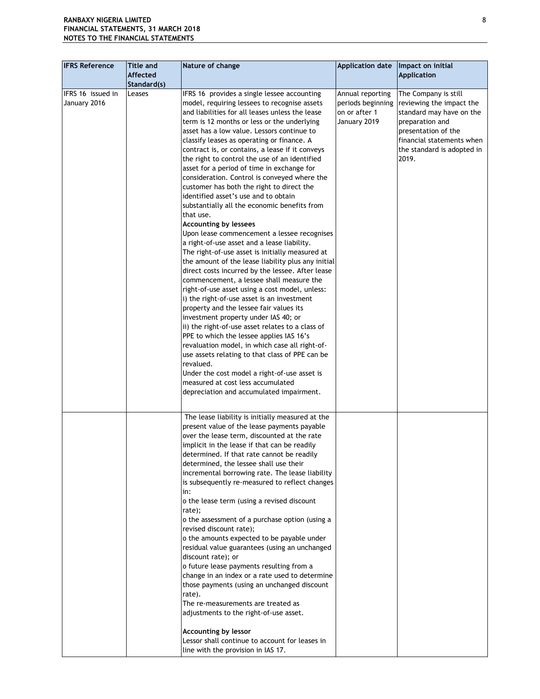#### **RANBAXY NIGERIA LIMITED** 8 **FINANCIAL STATEMENTS, 31 MARCH 2018 NOTES TO THE FINANCIAL STATEMENTS**

| <b>IFRS Reference</b>             | <b>Title and</b><br>Affected<br>Standard(s) | Nature of change                                                                                                                                                                                                                                                                                                                                                                                                                                                                                                                                                                                                                                                                                                                                                                                                                                                                                                                                                                                                                                                                                                                                                                                                                                                                                                                                                                                                                                                                                                    | <b>Application date</b>                                                | Impact on initial<br><b>Application</b>                                                                                                                                                    |
|-----------------------------------|---------------------------------------------|---------------------------------------------------------------------------------------------------------------------------------------------------------------------------------------------------------------------------------------------------------------------------------------------------------------------------------------------------------------------------------------------------------------------------------------------------------------------------------------------------------------------------------------------------------------------------------------------------------------------------------------------------------------------------------------------------------------------------------------------------------------------------------------------------------------------------------------------------------------------------------------------------------------------------------------------------------------------------------------------------------------------------------------------------------------------------------------------------------------------------------------------------------------------------------------------------------------------------------------------------------------------------------------------------------------------------------------------------------------------------------------------------------------------------------------------------------------------------------------------------------------------|------------------------------------------------------------------------|--------------------------------------------------------------------------------------------------------------------------------------------------------------------------------------------|
| IFRS 16 issued in<br>January 2016 | Leases                                      | IFRS 16 provides a single lessee accounting<br>model, requiring lessees to recognise assets<br>and liabilities for all leases unless the lease<br>term is 12 months or less or the underlying<br>asset has a low value. Lessors continue to<br>classify leases as operating or finance. A<br>contract is, or contains, a lease if it conveys<br>the right to control the use of an identified<br>asset for a period of time in exchange for<br>consideration. Control is conveyed where the<br>customer has both the right to direct the<br>identified asset's use and to obtain<br>substantially all the economic benefits from<br>that use.<br>Accounting by lessees<br>Upon lease commencement a lessee recognises<br>a right-of-use asset and a lease liability.<br>The right-of-use asset is initially measured at<br>the amount of the lease liability plus any initial<br>direct costs incurred by the lessee. After lease<br>commencement, a lessee shall measure the<br>right-of-use asset using a cost model, unless:<br>i) the right-of-use asset is an investment<br>property and the lessee fair values its<br>investment property under IAS 40; or<br>ii) the right-of-use asset relates to a class of<br>PPE to which the lessee applies IAS 16's<br>revaluation model, in which case all right-of-<br>use assets relating to that class of PPE can be<br>revalued.<br>Under the cost model a right-of-use asset is<br>measured at cost less accumulated<br>depreciation and accumulated impairment. | Annual reporting<br>periods beginning<br>on or after 1<br>January 2019 | The Company is still<br>reviewing the impact the<br>standard may have on the<br>preparation and<br>presentation of the<br>financial statements when<br>the standard is adopted in<br>2019. |
|                                   |                                             | The lease liability is initially measured at the<br>present value of the lease payments payable<br>over the lease term, discounted at the rate<br>implicit in the lease if that can be readily<br>determined. If that rate cannot be readily<br>determined, the lessee shall use their<br>incremental borrowing rate. The lease liability<br>is subsequently re-measured to reflect changes<br>in:<br>o the lease term (using a revised discount<br>rate);<br>o the assessment of a purchase option (using a<br>revised discount rate);<br>o the amounts expected to be payable under<br>residual value guarantees (using an unchanged<br>discount rate); or<br>o future lease payments resulting from a<br>change in an index or a rate used to determine<br>those payments (using an unchanged discount<br>rate).<br>The re-measurements are treated as<br>adjustments to the right-of-use asset.<br>Accounting by lessor<br>Lessor shall continue to account for leases in<br>line with the provision in IAS 17.                                                                                                                                                                                                                                                                                                                                                                                                                                                                                                 |                                                                        |                                                                                                                                                                                            |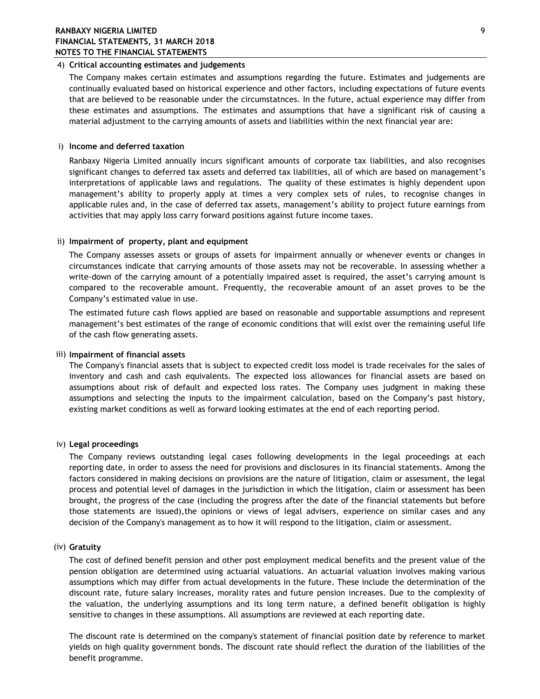#### 4) **Critical accounting estimates and judgements**

The Company makes certain estimates and assumptions regarding the future. Estimates and judgements are continually evaluated based on historical experience and other factors, including expectations of future events that are believed to be reasonable under the circumstatnces. In the future, actual experience may differ from these estimates and assumptions. The estimates and assumptions that have a significant risk of causing a material adjustment to the carrying amounts of assets and liabilities within the next financial year are:

#### i) **Income and deferred taxation**

Ranbaxy Nigeria Limited annually incurs significant amounts of corporate tax liabilities, and also recognises significant changes to deferred tax assets and deferred tax liabilities, all of which are based on management's interpretations of applicable laws and regulations. The quality of these estimates is highly dependent upon management's ability to properly apply at times a very complex sets of rules, to recognise changes in applicable rules and, in the case of deferred tax assets, management's ability to project future earnings from activities that may apply loss carry forward positions against future income taxes.

#### ii) **Impairment of property, plant and equipment**

The Company assesses assets or groups of assets for impairment annually or whenever events or changes in circumstances indicate that carrying amounts of those assets may not be recoverable. In assessing whether a write-down of the carrying amount of a potentially impaired asset is required, the asset's carrying amount is compared to the recoverable amount. Frequently, the recoverable amount of an asset proves to be the Company's estimated value in use.

The estimated future cash flows applied are based on reasonable and supportable assumptions and represent management's best estimates of the range of economic conditions that will exist over the remaining useful life of the cash flow generating assets.

#### iii) **Impairment of financial assets**

The Company's financial assets that is subject to expected credit loss model is trade receivales for the sales of inventory and cash and cash equivalents. The expected loss allowances for financial assets are based on assumptions about risk of default and expected loss rates. The Company uses judgment in making these assumptions and selecting the inputs to the impairment calculation, based on the Company's past history, existing market conditions as well as forward looking estimates at the end of each reporting period.

#### iv) **Legal proceedings**

The Company reviews outstanding legal cases following developments in the legal proceedings at each reporting date, in order to assess the need for provisions and disclosures in its financial statements. Among the factors considered in making decisions on provisions are the nature of litigation, claim or assessment, the legal process and potential level of damages in the jurisdiction in which the litigation, claim or assessment has been brought, the progress of the case (including the progress after the date of the financial statements but before those statements are issued),the opinions or views of legal advisers, experience on similar cases and any decision of the Company's management as to how it will respond to the litigation, claim or assessment.

#### (iv) **Gratuity**

The cost of defined benefit pension and other post employment medical benefits and the present value of the pension obligation are determined using actuarial valuations. An actuarial valuation involves making various assumptions which may differ from actual developments in the future. These include the determination of the discount rate, future salary increases, morality rates and future pension increases. Due to the complexity of the valuation, the underlying assumptions and its long term nature, a defined benefit obligation is highly sensitive to changes in these assumptions. All assumptions are reviewed at each reporting date.

The discount rate is determined on the company's statement of financial position date by reference to market yields on high quality government bonds. The discount rate should reflect the duration of the liabilities of the benefit programme.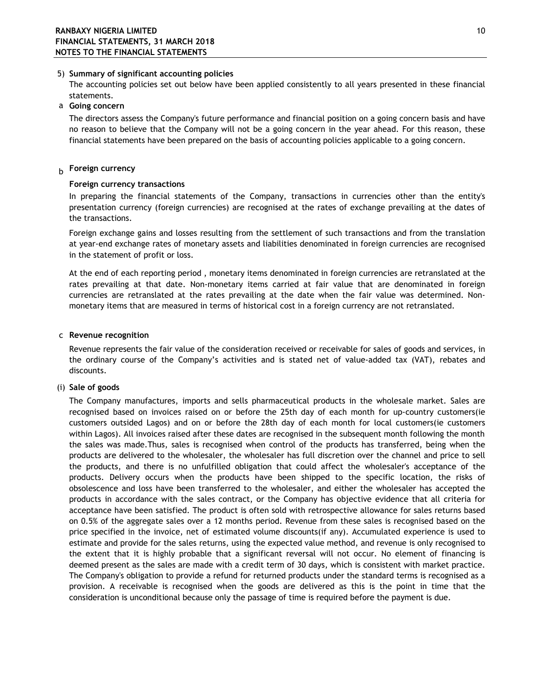#### 5) **Summary of significant accounting policies**

The accounting policies set out below have been applied consistently to all years presented in these financial statements.

## a **Going concern**

The directors assess the Company's future performance and financial position on a going concern basis and have no reason to believe that the Company will not be a going concern in the year ahead. For this reason, these financial statements have been prepared on the basis of accounting policies applicable to a going concern.

# b **Foreign currency**

### **Foreign currency transactions**

In preparing the financial statements of the Company, transactions in currencies other than the entity's presentation currency (foreign currencies) are recognised at the rates of exchange prevailing at the dates of the transactions.

Foreign exchange gains and losses resulting from the settlement of such transactions and from the translation at year-end exchange rates of monetary assets and liabilities denominated in foreign currencies are recognised in the statement of profit or loss.

At the end of each reporting period , monetary items denominated in foreign currencies are retranslated at the rates prevailing at that date. Non-monetary items carried at fair value that are denominated in foreign currencies are retranslated at the rates prevailing at the date when the fair value was determined. Nonmonetary items that are measured in terms of historical cost in a foreign currency are not retranslated.

### c **Revenue recognition**

Revenue represents the fair value of the consideration received or receivable for sales of goods and services, in the ordinary course of the Company's activities and is stated net of value-added tax (VAT), rebates and discounts.

#### (i) **Sale of goods**

The Company manufactures, imports and sells pharmaceutical products in the wholesale market. Sales are recognised based on invoices raised on or before the 25th day of each month for up-country customers(ie customers outsided Lagos) and on or before the 28th day of each month for local customers(ie customers within Lagos). All invoices raised after these dates are recognised in the subsequent month following the month the sales was made.Thus, sales is recognised when control of the products has transferred, being when the products are delivered to the wholesaler, the wholesaler has full discretion over the channel and price to sell the products, and there is no unfulfilled obligation that could affect the wholesaler's acceptance of the products. Delivery occurs when the products have been shipped to the specific location, the risks of obsolescence and loss have been transferred to the wholesaler, and either the wholesaler has accepted the products in accordance with the sales contract, or the Company has objective evidence that all criteria for acceptance have been satisfied. The product is often sold with retrospective allowance for sales returns based on 0.5% of the aggregate sales over a 12 months period. Revenue from these sales is recognised based on the price specified in the invoice, net of estimated volume discounts(if any). Accumulated experience is used to estimate and provide for the sales returns, using the expected value method, and revenue is only recognised to the extent that it is highly probable that a significant reversal will not occur. No element of financing is deemed present as the sales are made with a credit term of 30 days, which is consistent with market practice. The Company's obligation to provide a refund for returned products under the standard terms is recognised as a provision. A receivable is recognised when the goods are delivered as this is the point in time that the consideration is unconditional because only the passage of time is required before the payment is due.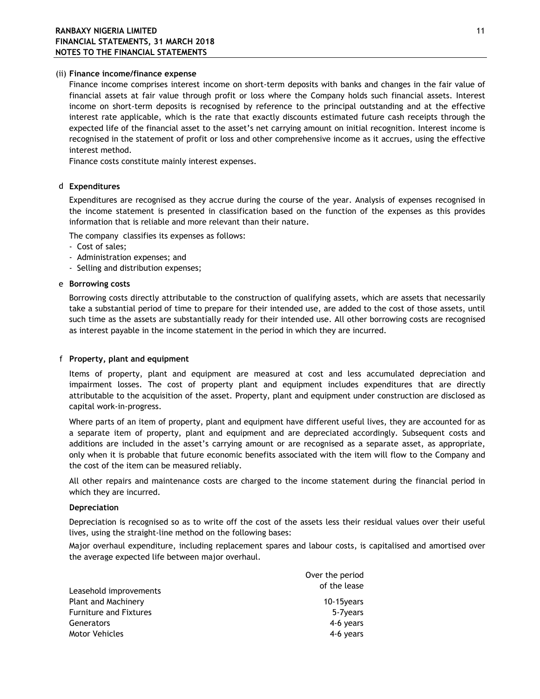#### (ii) **Finance income/finance expense**

Finance income comprises interest income on short-term deposits with banks and changes in the fair value of financial assets at fair value through profit or loss where the Company holds such financial assets. Interest income on short-term deposits is recognised by reference to the principal outstanding and at the effective interest rate applicable, which is the rate that exactly discounts estimated future cash receipts through the expected life of the financial asset to the asset's net carrying amount on initial recognition. Interest income is recognised in the statement of profit or loss and other comprehensive income as it accrues, using the effective interest method.

Finance costs constitute mainly interest expenses.

### d **Expenditures**

Expenditures are recognised as they accrue during the course of the year. Analysis of expenses recognised in the income statement is presented in classification based on the function of the expenses as this provides information that is reliable and more relevant than their nature.

The company classifies its expenses as follows:

- Cost of sales;
- Administration expenses; and
- Selling and distribution expenses;

### e **Borrowing costs**

Borrowing costs directly attributable to the construction of qualifying assets, which are assets that necessarily take a substantial period of time to prepare for their intended use, are added to the cost of those assets, until such time as the assets are substantially ready for their intended use. All other borrowing costs are recognised as interest payable in the income statement in the period in which they are incurred.

#### f **Property, plant and equipment**

Items of property, plant and equipment are measured at cost and less accumulated depreciation and impairment losses. The cost of property plant and equipment includes expenditures that are directly attributable to the acquisition of the asset. Property, plant and equipment under construction are disclosed as capital work-in-progress.

Where parts of an item of property, plant and equipment have different useful lives, they are accounted for as a separate item of property, plant and equipment and are depreciated accordingly. Subsequent costs and additions are included in the asset's carrying amount or are recognised as a separate asset, as appropriate, only when it is probable that future economic benefits associated with the item will flow to the Company and the cost of the item can be measured reliably.

All other repairs and maintenance costs are charged to the income statement during the financial period in which they are incurred.

#### **Depreciation**

Depreciation is recognised so as to write off the cost of the assets less their residual values over their useful lives, using the straight-line method on the following bases:

Major overhaul expenditure, including replacement spares and labour costs, is capitalised and amortised over the average expected life between major overhaul.

|                               | Over the period |
|-------------------------------|-----------------|
| Leasehold improvements        | of the lease    |
| <b>Plant and Machinery</b>    | 10-15 years     |
| <b>Furniture and Fixtures</b> | 5-7 vears       |
| <b>Generators</b>             | 4-6 years       |
| <b>Motor Vehicles</b>         | 4-6 years       |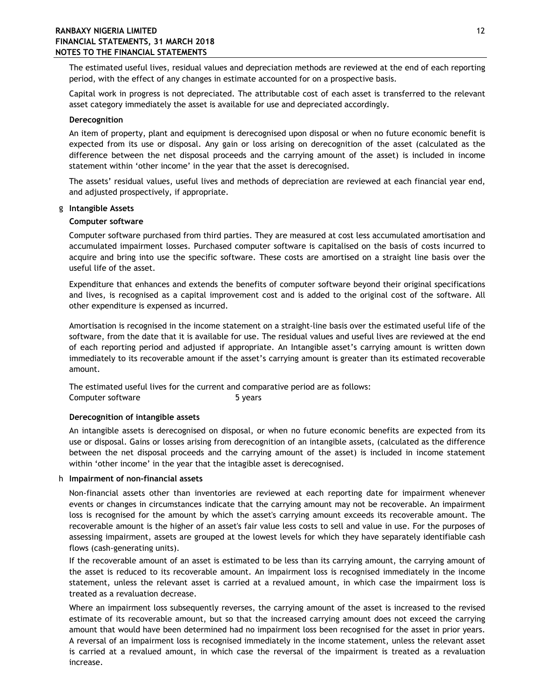The estimated useful lives, residual values and depreciation methods are reviewed at the end of each reporting period, with the effect of any changes in estimate accounted for on a prospective basis.

Capital work in progress is not depreciated. The attributable cost of each asset is transferred to the relevant asset category immediately the asset is available for use and depreciated accordingly.

#### **Derecognition**

An item of property, plant and equipment is derecognised upon disposal or when no future economic benefit is expected from its use or disposal. Any gain or loss arising on derecognition of the asset (calculated as the difference between the net disposal proceeds and the carrying amount of the asset) is included in income statement within 'other income' in the year that the asset is derecognised.

The assets' residual values, useful lives and methods of depreciation are reviewed at each financial year end, and adjusted prospectively, if appropriate.

#### g **Intangible Assets**

#### **Computer software**

Computer software purchased from third parties. They are measured at cost less accumulated amortisation and accumulated impairment losses. Purchased computer software is capitalised on the basis of costs incurred to acquire and bring into use the specific software. These costs are amortised on a straight line basis over the useful life of the asset.

Expenditure that enhances and extends the benefits of computer software beyond their original specifications and lives, is recognised as a capital improvement cost and is added to the original cost of the software. All other expenditure is expensed as incurred.

Amortisation is recognised in the income statement on a straight-line basis over the estimated useful life of the software, from the date that it is available for use. The residual values and useful lives are reviewed at the end of each reporting period and adjusted if appropriate. An Intangible asset's carrying amount is written down immediately to its recoverable amount if the asset's carrying amount is greater than its estimated recoverable amount.

The estimated useful lives for the current and comparative period are as follows: Computer software 5 years

#### **Derecognition of intangible assets**

An intangible assets is derecognised on disposal, or when no future economic benefits are expected from its use or disposal. Gains or losses arising from derecognition of an intangible assets, (calculated as the difference between the net disposal proceeds and the carrying amount of the asset) is included in income statement within 'other income' in the year that the intagible asset is derecognised.

#### h **Impairment of non-financial assets**

Non-financial assets other than inventories are reviewed at each reporting date for impairment whenever events or changes in circumstances indicate that the carrying amount may not be recoverable. An impairment loss is recognised for the amount by which the asset's carrying amount exceeds its recoverable amount. The recoverable amount is the higher of an asset's fair value less costs to sell and value in use. For the purposes of assessing impairment, assets are grouped at the lowest levels for which they have separately identifiable cash flows (cash-generating units).

If the recoverable amount of an asset is estimated to be less than its carrying amount, the carrying amount of the asset is reduced to its recoverable amount. An impairment loss is recognised immediately in the income statement, unless the relevant asset is carried at a revalued amount, in which case the impairment loss is treated as a revaluation decrease.

Where an impairment loss subsequently reverses, the carrying amount of the asset is increased to the revised estimate of its recoverable amount, but so that the increased carrying amount does not exceed the carrying amount that would have been determined had no impairment loss been recognised for the asset in prior years. A reversal of an impairment loss is recognised immediately in the income statement, unless the relevant asset is carried at a revalued amount, in which case the reversal of the impairment is treated as a revaluation increase.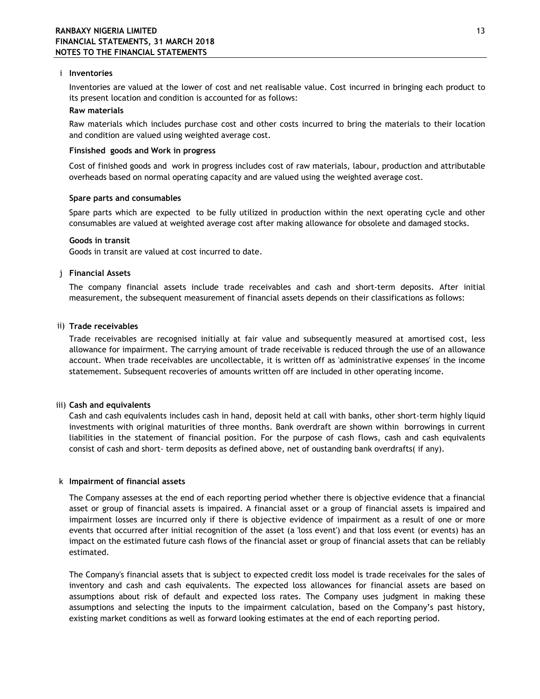#### i **Inventories**

Inventories are valued at the lower of cost and net realisable value. Cost incurred in bringing each product to its present location and condition is accounted for as follows:

#### **Raw materials**

Raw materials which includes purchase cost and other costs incurred to bring the materials to their location and condition are valued using weighted average cost.

#### **Finsished goods and Work in progress**

Cost of finished goods and work in progress includes cost of raw materials, labour, production and attributable overheads based on normal operating capacity and are valued using the weighted average cost.

#### **Spare parts and consumables**

Spare parts which are expected to be fully utilized in production within the next operating cycle and other consumables are valued at weighted average cost after making allowance for obsolete and damaged stocks.

#### **Goods in transit**

Goods in transit are valued at cost incurred to date.

#### j **Financial Assets**

The company financial assets include trade receivables and cash and short-term deposits. After initial measurement, the subsequent measurement of financial assets depends on their classifications as follows:

#### ii) **Trade receivables**

Trade receivables are recognised initially at fair value and subsequently measured at amortised cost, less allowance for impairment. The carrying amount of trade receivable is reduced through the use of an allowance account. When trade receivables are uncollectable, it is written off as 'administrative expenses' in the income statemement. Subsequent recoveries of amounts written off are included in other operating income.

#### iii) **Cash and equivalents**

Cash and cash equivalents includes cash in hand, deposit held at call with banks, other short-term highly liquid investments with original maturities of three months. Bank overdraft are shown within borrowings in current liabilities in the statement of financial position. For the purpose of cash flows, cash and cash equivalents consist of cash and short- term deposits as defined above, net of oustanding bank overdrafts( if any).

#### k **Impairment of financial assets**

The Company assesses at the end of each reporting period whether there is objective evidence that a financial asset or group of financial assets is impaired. A financial asset or a group of financial assets is impaired and impairment losses are incurred only if there is objective evidence of impairment as a result of one or more events that occurred after initial recognition of the asset (a 'loss event') and that loss event (or events) has an impact on the estimated future cash flows of the financial asset or group of financial assets that can be reliably estimated.

The Company's financial assets that is subject to expected credit loss model is trade receivales for the sales of inventory and cash and cash equivalents. The expected loss allowances for financial assets are based on assumptions about risk of default and expected loss rates. The Company uses judgment in making these assumptions and selecting the inputs to the impairment calculation, based on the Company's past history, existing market conditions as well as forward looking estimates at the end of each reporting period.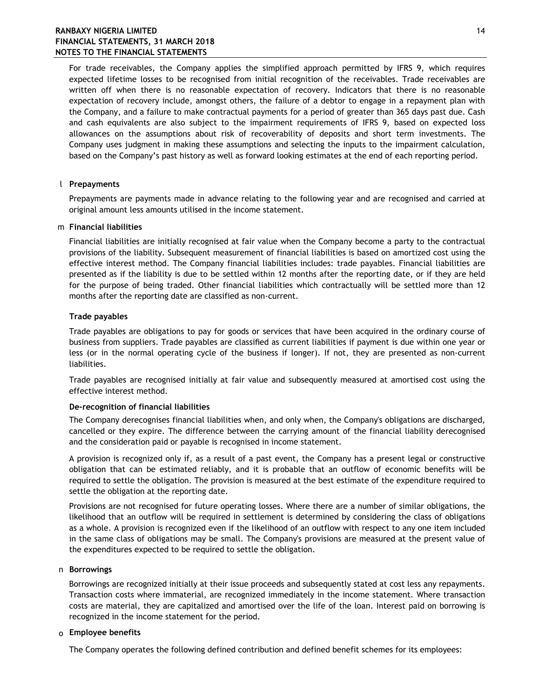### **RANBAXY NIGERIA LIMITED** 14 **FINANCIAL STATEMENTS, 31 MARCH 2018 NOTES TO THE FINANCIAL STATEMENTS**

For trade receivables, the Company applies the simplified approach permitted by IFRS 9, which requires expected lifetime losses to be recognised from initial recognition of the receivables. Trade receivables are written off when there is no reasonable expectation of recovery. Indicators that there is no reasonable expectation of recovery include, amongst others, the failure of a debtor to engage in a repayment plan with the Company, and a failure to make contractual payments for a period of greater than 365 days past due. Cash and cash equivalents are also subject to the impairment requirements of IFRS 9, based on expected loss allowances on the assumptions about risk of recoverability of deposits and short term investments. The Company uses judgment in making these assumptions and selecting the inputs to the impairment calculation, based on the Company's past history as well as forward looking estimates at the end of each reporting period.

### l **Prepayments**

Prepayments are payments made in advance relating to the following year and are recognised and carried at original amount less amounts utilised in the income statement.

#### m **Financial liabilities**

Financial liabilities are initially recognised at fair value when the Company become a party to the contractual provisions of the liability. Subsequent measurement of financial liabilities is based on amortized cost using the effective interest method. The Company financial liabilities includes: trade payables. Financial liabilities are presented as if the liability is due to be settled within 12 months after the reporting date, or if they are held for the purpose of being traded. Other financial liabilities which contractually will be settled more than 12 months after the reporting date are classified as non-current.

#### **Trade payables**

Trade payables are obligations to pay for goods or services that have been acquired in the ordinary course of business from suppliers. Trade payables are classified as current liabilities if payment is due within one year or less (or in the normal operating cycle of the business if longer). If not, they are presented as non-current liabilities.

Trade payables are recognised initially at fair value and subsequently measured at amortised cost using the effective interest method.

#### **De-recognition of financial liabilities**

The Company derecognises financial liabilities when, and only when, the Company's obligations are discharged, cancelled or they expire. The difference between the carrying amount of the financial liability derecognised and the consideration paid or payable is recognised in income statement.

A provision is recognized only if, as a result of a past event, the Company has a present legal or constructive obligation that can be estimated reliably, and it is probable that an outflow of economic benefits will be required to settle the obligation. The provision is measured at the best estimate of the expenditure required to settle the obligation at the reporting date.

Provisions are not recognised for future operating losses. Where there are a number of similar obligations, the likelihood that an outflow will be required in settlement is determined by considering the class of obligations as a whole. A provision is recognized even if the likelihood of an outflow with respect to any one item included in the same class of obligations may be small. The Company's provisions are measured at the present value of the expenditures expected to be required to settle the obligation.

#### n **Borrowings**

Borrowings are recognized initially at their issue proceeds and subsequently stated at cost less any repayments. Transaction costs where immaterial, are recognized immediately in the income statement. Where transaction costs are material, they are capitalized and amortised over the life of the loan. Interest paid on borrowing is recognized in the income statement for the period.

#### o **Employee benefits**

The Company operates the following defined contribution and defined benefit schemes for its employees: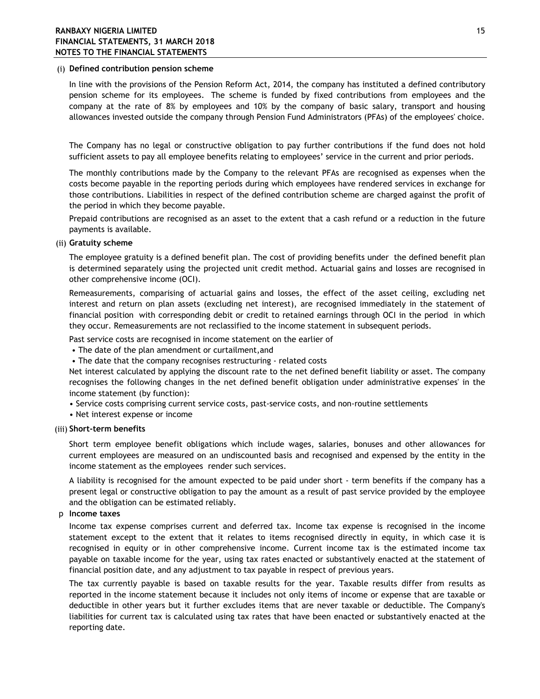### **RANBAXY NIGERIA LIMITED** 15 **FINANCIAL STATEMENTS, 31 MARCH 2018 NOTES TO THE FINANCIAL STATEMENTS**

### (i) **Defined contribution pension scheme**

In line with the provisions of the Pension Reform Act, 2014, the company has instituted a defined contributory pension scheme for its employees. The scheme is funded by fixed contributions from employees and the company at the rate of 8% by employees and 10% by the company of basic salary, transport and housing allowances invested outside the company through Pension Fund Administrators (PFAs) of the employees' choice.

The Company has no legal or constructive obligation to pay further contributions if the fund does not hold sufficient assets to pay all employee benefits relating to employees' service in the current and prior periods.

The monthly contributions made by the Company to the relevant PFAs are recognised as expenses when the costs become payable in the reporting periods during which employees have rendered services in exchange for those contributions. Liabilities in respect of the defined contribution scheme are charged against the profit of the period in which they become payable.

Prepaid contributions are recognised as an asset to the extent that a cash refund or a reduction in the future payments is available.

#### (ii) **Gratuity scheme**

The employee gratuity is a defined benefit plan. The cost of providing benefits under the defined benefit plan is determined separately using the projected unit credit method. Actuarial gains and losses are recognised in other comprehensive income (OCI).

Remeasurements, comparising of actuarial gains and losses, the effect of the asset ceiling, excluding net interest and return on plan assets (excluding net interest), are recognised immediately in the statement of financial position with corresponding debit or credit to retained earnings through OCI in the period in which they occur. Remeasurements are not reclassified to the income statement in subsequent periods.

Past service costs are recognised in income statement on the earlier of

- The date of the plan amendment or curtailment,and
- The date that the company recognises restructuring related costs

Net interest calculated by applying the discount rate to the net defined benefit liability or asset. The company recognises the following changes in the net defined benefit obligation under administrative expenses' in the income statement (by function):

- Service costs comprising current service costs, past-service costs, and non-routine settlements
- Net interest expense or income

#### (iii) **Short-term benefits**

Short term employee benefit obligations which include wages, salaries, bonuses and other allowances for current employees are measured on an undiscounted basis and recognised and expensed by the entity in the income statement as the employees render such services.

A liability is recognised for the amount expected to be paid under short - term benefits if the company has a present legal or constructive obligation to pay the amount as a result of past service provided by the employee and the obligation can be estimated reliably.

#### p **Income taxes**

Income tax expense comprises current and deferred tax. Income tax expense is recognised in the income statement except to the extent that it relates to items recognised directly in equity, in which case it is recognised in equity or in other comprehensive income. Current income tax is the estimated income tax payable on taxable income for the year, using tax rates enacted or substantively enacted at the statement of financial position date, and any adjustment to tax payable in respect of previous years.

The tax currently payable is based on taxable results for the year. Taxable results differ from results as reported in the income statement because it includes not only items of income or expense that are taxable or deductible in other years but it further excludes items that are never taxable or deductible. The Company's liabilities for current tax is calculated using tax rates that have been enacted or substantively enacted at the reporting date.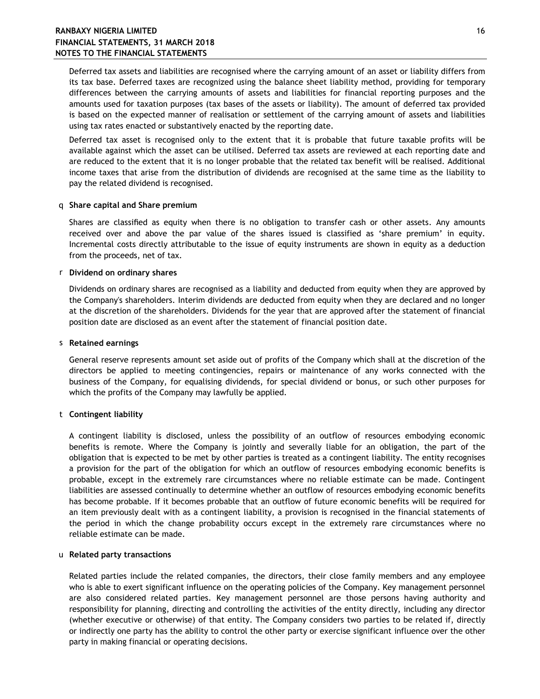## **RANBAXY NIGERIA LIMITED** 16 **FINANCIAL STATEMENTS, 31 MARCH 2018 NOTES TO THE FINANCIAL STATEMENTS**

Deferred tax assets and liabilities are recognised where the carrying amount of an asset or liability differs from its tax base. Deferred taxes are recognized using the balance sheet liability method, providing for temporary differences between the carrying amounts of assets and liabilities for financial reporting purposes and the amounts used for taxation purposes (tax bases of the assets or liability). The amount of deferred tax provided is based on the expected manner of realisation or settlement of the carrying amount of assets and liabilities using tax rates enacted or substantively enacted by the reporting date.

Deferred tax asset is recognised only to the extent that it is probable that future taxable profits will be available against which the asset can be utilised. Deferred tax assets are reviewed at each reporting date and are reduced to the extent that it is no longer probable that the related tax benefit will be realised. Additional income taxes that arise from the distribution of dividends are recognised at the same time as the liability to pay the related dividend is recognised.

#### q **Share capital and Share premium**

Shares are classified as equity when there is no obligation to transfer cash or other assets. Any amounts received over and above the par value of the shares issued is classified as 'share premium' in equity. Incremental costs directly attributable to the issue of equity instruments are shown in equity as a deduction from the proceeds, net of tax.

### r **Dividend on ordinary shares**

Dividends on ordinary shares are recognised as a liability and deducted from equity when they are approved by the Company's shareholders. Interim dividends are deducted from equity when they are declared and no longer at the discretion of the shareholders. Dividends for the year that are approved after the statement of financial position date are disclosed as an event after the statement of financial position date.

### s **Retained earnings**

General reserve represents amount set aside out of profits of the Company which shall at the discretion of the directors be applied to meeting contingencies, repairs or maintenance of any works connected with the business of the Company, for equalising dividends, for special dividend or bonus, or such other purposes for which the profits of the Company may lawfully be applied.

## t **Contingent liability**

A contingent liability is disclosed, unless the possibility of an outflow of resources embodying economic benefits is remote. Where the Company is jointly and severally liable for an obligation, the part of the obligation that is expected to be met by other parties is treated as a contingent liability. The entity recognises a provision for the part of the obligation for which an outflow of resources embodying economic benefits is probable, except in the extremely rare circumstances where no reliable estimate can be made. Contingent liabilities are assessed continually to determine whether an outflow of resources embodying economic benefits has become probable. If it becomes probable that an outflow of future economic benefits will be required for an item previously dealt with as a contingent liability, a provision is recognised in the financial statements of the period in which the change probability occurs except in the extremely rare circumstances where no reliable estimate can be made.

#### u **Related party transactions**

Related parties include the related companies, the directors, their close family members and any employee who is able to exert significant influence on the operating policies of the Company. Key management personnel are also considered related parties. Key management personnel are those persons having authority and responsibility for planning, directing and controlling the activities of the entity directly, including any director (whether executive or otherwise) of that entity. The Company considers two parties to be related if, directly or indirectly one party has the ability to control the other party or exercise significant influence over the other party in making financial or operating decisions.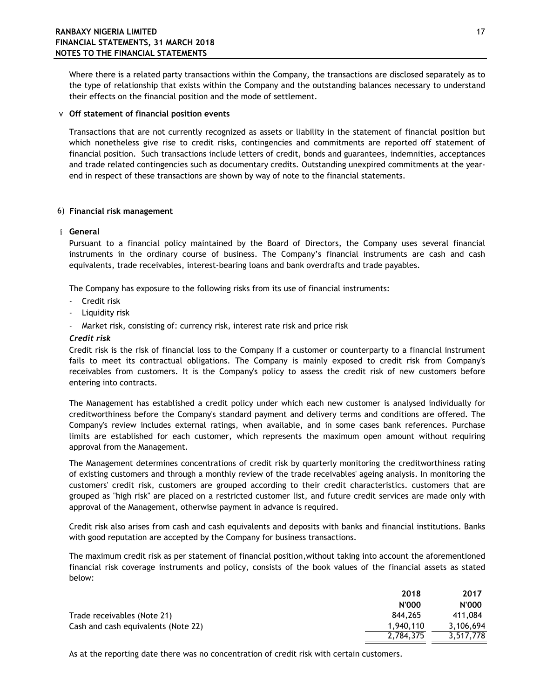Where there is a related party transactions within the Company, the transactions are disclosed separately as to the type of relationship that exists within the Company and the outstanding balances necessary to understand their effects on the financial position and the mode of settlement.

#### v **Off statement of financial position events**

Transactions that are not currently recognized as assets or liability in the statement of financial position but which nonetheless give rise to credit risks, contingencies and commitments are reported off statement of financial position. Such transactions include letters of credit, bonds and guarantees, indemnities, acceptances and trade related contingencies such as documentary credits. Outstanding unexpired commitments at the yearend in respect of these transactions are shown by way of note to the financial statements.

### 6) **Financial risk management**

### i **General**

Pursuant to a financial policy maintained by the Board of Directors, the Company uses several financial instruments in the ordinary course of business. The Company's financial instruments are cash and cash equivalents, trade receivables, interest-bearing loans and bank overdrafts and trade payables.

The Company has exposure to the following risks from its use of financial instruments:

- Credit risk
- Liquidity risk
- Market risk, consisting of: currency risk, interest rate risk and price risk

#### *Credit risk*

Credit risk is the risk of financial loss to the Company if a customer or counterparty to a financial instrument fails to meet its contractual obligations. The Company is mainly exposed to credit risk from Company's receivables from customers. It is the Company's policy to assess the credit risk of new customers before entering into contracts.

The Management has established a credit policy under which each new customer is analysed individually for creditworthiness before the Company's standard payment and delivery terms and conditions are offered. The Company's review includes external ratings, when available, and in some cases bank references. Purchase limits are established for each customer, which represents the maximum open amount without requiring approval from the Management.

The Management determines concentrations of credit risk by quarterly monitoring the creditworthiness rating of existing customers and through a monthly review of the trade receivables' ageing analysis. In monitoring the customers' credit risk, customers are grouped according to their credit characteristics. customers that are grouped as "high risk" are placed on a restricted customer list, and future credit services are made only with approval of the Management, otherwise payment in advance is required.

Credit risk also arises from cash and cash equivalents and deposits with banks and financial institutions. Banks with good reputation are accepted by the Company for business transactions.

The maximum credit risk as per statement of financial position,without taking into account the aforementioned financial risk coverage instruments and policy, consists of the book values of the financial assets as stated below:

|                                     | 2018         | 2017         |
|-------------------------------------|--------------|--------------|
|                                     | <b>N'000</b> | <b>N'000</b> |
| Trade receivables (Note 21)         | 844,265      | 411,084      |
| Cash and cash equivalents (Note 22) | 1.940.110    | 3.106.694    |
|                                     | 2.784.375    | 3,517,778    |
|                                     |              |              |

As at the reporting date there was no concentration of credit risk with certain customers.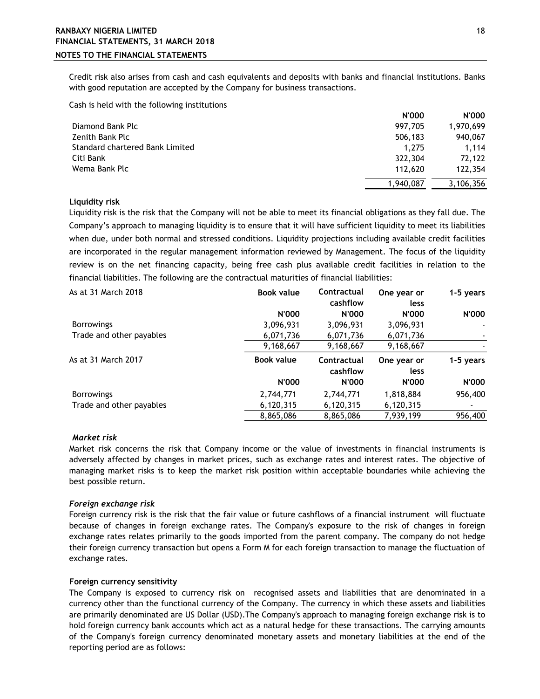## **RANBAXY NIGERIA LIMITED** 18 **FINANCIAL STATEMENTS, 31 MARCH 2018 NOTES TO THE FINANCIAL STATEMENTS**

Credit risk also arises from cash and cash equivalents and deposits with banks and financial institutions. Banks with good reputation are accepted by the Company for business transactions.

Cash is held with the following institutions

|                                 | <b>N'000</b> | <b>N'000</b> |
|---------------------------------|--------------|--------------|
| Diamond Bank Plc                | 997.705      | 1,970,699    |
| Zenith Bank Plc                 | 506,183      | 940,067      |
| Standard chartered Bank Limited | 1.275        | 1.114        |
| Citi Bank                       | 322,304      | 72.122       |
| Wema Bank Plc                   | 112,620      | 122,354      |
|                                 | 1,940,087    | 3,106,356    |

#### **Liquidity risk**

Liquidity risk is the risk that the Company will not be able to meet its financial obligations as they fall due. The Company's approach to managing liquidity is to ensure that it will have sufficient liquidity to meet its liabilities when due, under both normal and stressed conditions. Liquidity projections including available credit facilities are incorporated in the regular management information reviewed by Management. The focus of the liquidity review is on the net financing capacity, being free cash plus available credit facilities in relation to the financial liabilities. The following are the contractual maturities of financial liabilities:

| As at 31 March 2018      | <b>Book value</b> | Contractual<br>cashflow | One year or<br>less | 1-5 years    |
|--------------------------|-------------------|-------------------------|---------------------|--------------|
|                          | N'000             | N'000                   | <b>N'000</b>        | <b>N'000</b> |
| <b>Borrowings</b>        | 3,096,931         | 3,096,931               | 3,096,931           |              |
| Trade and other payables | 6,071,736         | 6,071,736               | 6,071,736           |              |
|                          | 9,168,667         | 9,168,667               | 9,168,667           |              |
| As at 31 March 2017      | <b>Book value</b> | Contractual<br>cashflow | One year or<br>less | 1-5 years    |
|                          | N'000             | <b>N'000</b>            | N'000               | <b>N'000</b> |
| <b>Borrowings</b>        | 2,744,771         | 2,744,771               | 1,818,884           | 956,400      |
| Trade and other payables | 6,120,315         | 6,120,315               | 6,120,315           |              |
|                          |                   |                         | 7,939,199           | 956,400      |

#### *Market risk*

Market risk concerns the risk that Company income or the value of investments in financial instruments is adversely affected by changes in market prices, such as exchange rates and interest rates. The objective of managing market risks is to keep the market risk position within acceptable boundaries while achieving the best possible return.

#### *Foreign exchange risk*

Foreign currency risk is the risk that the fair value or future cashflows of a financial instrument will fluctuate because of changes in foreign exchange rates. The Company's exposure to the risk of changes in foreign exchange rates relates primarily to the goods imported from the parent company. The company do not hedge their foreign currency transaction but opens a Form M for each foreign transaction to manage the fluctuation of exchange rates.

#### **Foreign currency sensitivity**

The Company is exposed to currency risk on recognised assets and liabilities that are denominated in a currency other than the functional currency of the Company. The currency in which these assets and liabilities are primarily denominated are US Dollar (USD).The Company's approach to managing foreign exchange risk is to hold foreign currency bank accounts which act as a natural hedge for these transactions. The carrying amounts of the Company's foreign currency denominated monetary assets and monetary liabilities at the end of the reporting period are as follows: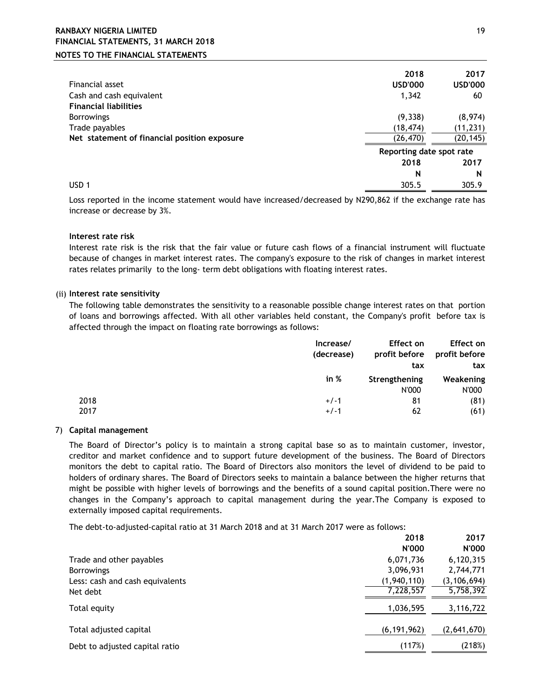## **RANBAXY NIGERIA LIMITED** 19 **FINANCIAL STATEMENTS, 31 MARCH 2018 NOTES TO THE FINANCIAL STATEMENTS**

|                                              | 2018                     | 2017           |
|----------------------------------------------|--------------------------|----------------|
| Financial asset                              | <b>USD'000</b>           | <b>USD'000</b> |
| Cash and cash equivalent                     | 1,342                    | 60             |
| <b>Financial liabilities</b>                 |                          |                |
| <b>Borrowings</b>                            | (9, 338)                 | (8,974)        |
| Trade payables                               | (18, 474)                | (11, 231)      |
| Net statement of financial position exposure | (26, 470)                | (20, 145)      |
|                                              | Reporting date spot rate |                |
|                                              | 2018                     | 2017           |
|                                              | N                        | N              |
| USD <sub>1</sub>                             | 305.5                    | 305.9          |

Loss reported in the income statement would have increased/decreased by N290,862 if the exchange rate has increase or decrease by 3%.

#### **Interest rate risk**

Interest rate risk is the risk that the fair value or future cash flows of a financial instrument will fluctuate because of changes in market interest rates. The company's exposure to the risk of changes in market interest rates relates primarily to the long- term debt obligations with floating interest rates.

## (ii) **Interest rate sensitivity**

The following table demonstrates the sensitivity to a reasonable possible change interest rates on that portion of loans and borrowings affected. With all other variables held constant, the Company's profit before tax is affected through the impact on floating rate borrowings as follows:

|      | Increase/  | Effect on     | Effect on     |
|------|------------|---------------|---------------|
|      | (decrease) | profit before | profit before |
|      |            | tax           | tax           |
|      | in $%$     | Strengthening | Weakening     |
|      |            | N'000         | N'000         |
| 2018 | $+/-1$     | 81            | (81)          |
| 2017 | $+/-1$     | 62            | (61)          |

## 7) **Capital management**

The Board of Director's policy is to maintain a strong capital base so as to maintain customer, investor, creditor and market confidence and to support future development of the business. The Board of Directors monitors the debt to capital ratio. The Board of Directors also monitors the level of dividend to be paid to holders of ordinary shares. The Board of Directors seeks to maintain a balance between the higher returns that might be possible with higher levels of borrowings and the benefits of a sound capital position.There were no changes in the Company's approach to capital management during the year.The Company is exposed to externally imposed capital requirements.

The debt-to-adjusted-capital ratio at 31 March 2018 and at 31 March 2017 were as follows:

|                                 | 2018          | 2017          |
|---------------------------------|---------------|---------------|
|                                 | <b>N'000</b>  | <b>N'000</b>  |
| Trade and other payables        | 6,071,736     | 6,120,315     |
| <b>Borrowings</b>               | 3,096,931     | 2,744,771     |
| Less: cash and cash equivalents | (1,940,110)   | (3, 106, 694) |
| Net debt                        | 7,228,557     | 5,758,392     |
| Total equity                    | 1,036,595     | 3,116,722     |
| Total adjusted capital          | (6, 191, 962) | (2,641,670)   |
| Debt to adjusted capital ratio  | (117%)        | (218%)        |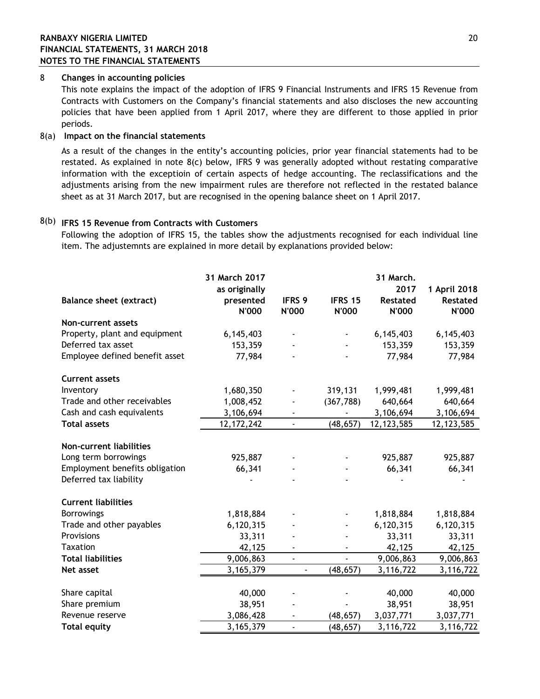## 8 **Changes in accounting policies**

This note explains the impact of the adoption of IFRS 9 Financial Instruments and IFRS 15 Revenue from Contracts with Customers on the Company's financial statements and also discloses the new accounting policies that have been applied from 1 April 2017, where they are different to those applied in prior periods.

## 8(a) **Impact on the financial statements**

As a result of the changes in the entity's accounting policies, prior year financial statements had to be restated. As explained in note 8(c) below, IFRS 9 was generally adopted without restating comparative information with the exceptioin of certain aspects of hedge accounting. The reclassifications and the adjustments arising from the new impairment rules are therefore not reflected in the restated balance sheet as at 31 March 2017, but are recognised in the opening balance sheet on 1 April 2017.

# 8(b) **IFRS 15 Revenue from Contracts with Customers**

Following the adoption of IFRS 15, the tables show the adjustments recognised for each individual line item. The adjustemnts are explained in more detail by explanations provided below:

|                                | 31 March 2017 |                |                | 31 March.       |                 |
|--------------------------------|---------------|----------------|----------------|-----------------|-----------------|
|                                | as originally |                |                | 2017            | 1 April 2018    |
| <b>Balance sheet (extract)</b> | presented     | <b>IFRS 9</b>  | <b>IFRS 15</b> | <b>Restated</b> | <b>Restated</b> |
|                                | <b>N'000</b>  | <b>N'000</b>   | <b>N'000</b>   | <b>N'000</b>    | <b>N'000</b>    |
| <b>Non-current assets</b>      |               |                |                |                 |                 |
| Property, plant and equipment  | 6,145,403     |                |                | 6,145,403       | 6,145,403       |
| Deferred tax asset             | 153,359       |                |                | 153,359         | 153,359         |
| Employee defined benefit asset | 77,984        |                |                | 77,984          | 77,984          |
| <b>Current assets</b>          |               |                |                |                 |                 |
| Inventory                      | 1,680,350     |                | 319,131        | 1,999,481       | 1,999,481       |
| Trade and other receivables    | 1,008,452     |                | (367, 788)     | 640,664         | 640,664         |
| Cash and cash equivalents      | 3,106,694     |                |                | 3,106,694       | 3,106,694       |
| <b>Total assets</b>            | 12, 172, 242  | $\blacksquare$ | (48, 657)      | 12, 123, 585    | 12,123,585      |
| <b>Non-current liabilities</b> |               |                |                |                 |                 |
| Long term borrowings           | 925,887       |                |                | 925,887         | 925,887         |
| Employment benefits obligation | 66,341        |                |                | 66,341          | 66,341          |
| Deferred tax liability         |               |                |                |                 |                 |
| <b>Current liabilities</b>     |               |                |                |                 |                 |
| <b>Borrowings</b>              | 1,818,884     |                |                | 1,818,884       | 1,818,884       |
| Trade and other payables       | 6,120,315     |                |                | 6,120,315       | 6,120,315       |
| Provisions                     | 33,311        |                |                | 33,311          | 33,311          |
| Taxation                       | 42,125        |                |                | 42,125          | 42,125          |
| <b>Total liabilities</b>       | 9,006,863     | ÷,             | ÷,             | 9,006,863       | 9,006,863       |
| Net asset                      | 3,165,379     |                | (48, 657)      | 3,116,722       | 3,116,722       |
| Share capital                  | 40,000        |                |                | 40,000          | 40,000          |
| Share premium                  | 38,951        |                |                | 38,951          | 38,951          |
| Revenue reserve                | 3,086,428     |                | (48, 657)      | 3,037,771       | 3,037,771       |
| <b>Total equity</b>            | 3,165,379     | ÷,             | (48, 657)      | 3,116,722       | 3,116,722       |
|                                |               |                |                |                 |                 |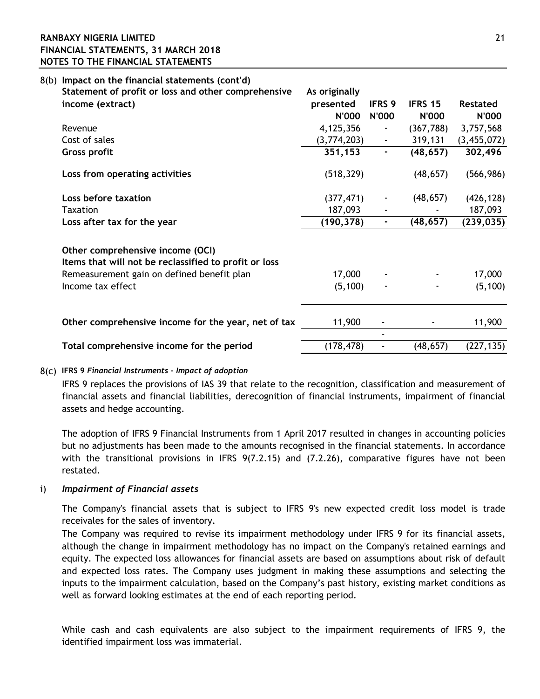| 8(b) Impact on the financial statements (cont'd)      |               |                |              |                 |
|-------------------------------------------------------|---------------|----------------|--------------|-----------------|
| Statement of profit or loss and other comprehensive   | As originally |                |              |                 |
| income (extract)                                      | presented     | <b>IFRS 9</b>  | IFRS 15      | <b>Restated</b> |
|                                                       | N'000         | N'000          | <b>N'000</b> | N'000           |
| Revenue                                               | 4,125,356     |                | (367,788)    | 3,757,568       |
| Cost of sales                                         | (3,774,203)   | $\blacksquare$ | 319,131      | (3,455,072)     |
| Gross profit                                          | 351,153       | -              | (48, 657)    | 302,496         |
| Loss from operating activities                        | (518, 329)    |                | (48, 657)    | (566, 986)      |
| Loss before taxation                                  | (377, 471)    | $\blacksquare$ | (48, 657)    | (426, 128)      |
| <b>Taxation</b>                                       | 187,093       | $\blacksquare$ |              | 187,093         |
| Loss after tax for the year                           | (190, 378)    | $\blacksquare$ | (48, 657)    | (239, 035)      |
| Other comprehensive income (OCI)                      |               |                |              |                 |
| Items that will not be reclassified to profit or loss |               |                |              |                 |
| Remeasurement gain on defined benefit plan            | 17,000        |                |              | 17,000          |
| Income tax effect                                     | (5, 100)      |                |              | (5, 100)        |
|                                                       |               |                |              |                 |
| Other comprehensive income for the year, net of tax   | 11,900        |                |              | 11,900          |
| Total comprehensive income for the period             | (178, 478)    |                | (48, 657)    | (227, 135)      |

## 8(c) **IFRS 9** *Financial Instruments - Impact of adoption*

IFRS 9 replaces the provisions of IAS 39 that relate to the recognition, classification and measurement of financial assets and financial liabilities, derecognition of financial instruments, impairment of financial assets and hedge accounting.

The adoption of IFRS 9 Financial Instruments from 1 April 2017 resulted in changes in accounting policies but no adjustments has been made to the amounts recognised in the financial statements. In accordance with the transitional provisions in IFRS 9(7.2.15) and (7.2.26), comparative figures have not been restated.

## i) *Impairment of Financial assets*

The Company's financial assets that is subject to IFRS 9's new expected credit loss model is trade receivales for the sales of inventory.

The Company was required to revise its impairment methodology under IFRS 9 for its financial assets, although the change in impairment methodology has no impact on the Company's retained earnings and equity. The expected loss allowances for financial assets are based on assumptions about risk of default and expected loss rates. The Company uses judgment in making these assumptions and selecting the inputs to the impairment calculation, based on the Company's past history, existing market conditions as well as forward looking estimates at the end of each reporting period.

While cash and cash equivalents are also subject to the impairment requirements of IFRS 9, the identified impairment loss was immaterial.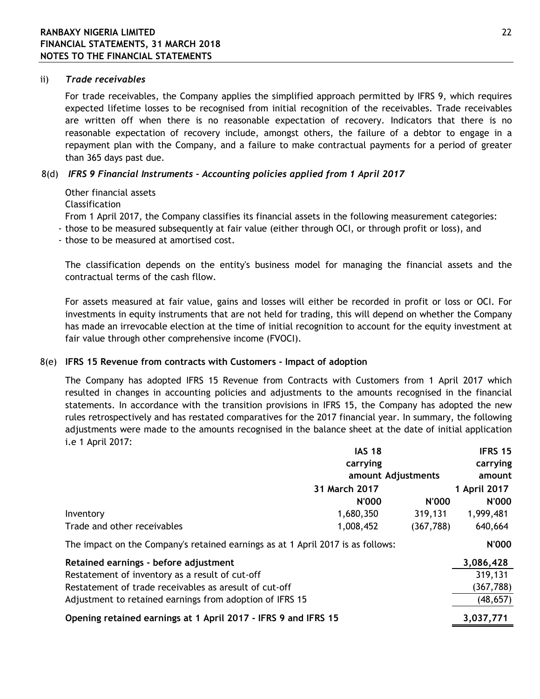## ii) *Trade receivables*

For trade receivables, the Company applies the simplified approach permitted by IFRS 9, which requires expected lifetime losses to be recognised from initial recognition of the receivables. Trade receivables are written off when there is no reasonable expectation of recovery. Indicators that there is no reasonable expectation of recovery include, amongst others, the failure of a debtor to engage in a repayment plan with the Company, and a failure to make contractual payments for a period of greater than 365 days past due.

# 8(d) *IFRS 9 Financial Instruments – Accounting policies applied from 1 April 2017*

Other financial assets

- Classification
- From 1 April 2017, the Company classifies its financial assets in the following measurement categories:
- those to be measured subsequently at fair value (either through OCI, or through profit or loss), and
- those to be measured at amortised cost.

The classification depends on the entity's business model for managing the financial assets and the contractual terms of the cash fllow.

For assets measured at fair value, gains and losses will either be recorded in profit or loss or OCI. For investments in equity instruments that are not held for trading, this will depend on whether the Company has made an irrevocable election at the time of initial recognition to account for the equity investment at fair value through other comprehensive income (FVOCI).

## 8(e) **IFRS 15 Revenue from contracts with Customers - Impact of adoption**

The Company has adopted IFRS 15 Revenue from Contracts with Customers from 1 April 2017 which resulted in changes in accounting policies and adjustments to the amounts recognised in the financial statements. In accordance with the transition provisions in IFRS 15, the Company has adopted the new rules retrospectively and has restated comparatives for the 2017 financial year. In summary, the following adjustments were made to the amounts recognised in the balance sheet at the date of initial application i.e 1 April 2017:

|                                                                                 | <b>IAS 18</b> |                    | IFRS 15      |
|---------------------------------------------------------------------------------|---------------|--------------------|--------------|
|                                                                                 | carrying      |                    | carrying     |
|                                                                                 |               | amount Adjustments | amount       |
|                                                                                 | 31 March 2017 |                    | 1 April 2017 |
|                                                                                 | <b>N'000</b>  | <b>N'000</b>       | N'000        |
| Inventory                                                                       | 1,680,350     | 319,131            | 1,999,481    |
| Trade and other receivables                                                     | 1,008,452     | (367,788)          | 640,664      |
| The impact on the Company's retained earnings as at 1 April 2017 is as follows: |               |                    | N'000        |
| Retained earnings - before adjustment                                           |               |                    | 3,086,428    |
| Restatement of inventory as a result of cut-off                                 |               |                    | 319,131      |
| Restatement of trade receivables as aresult of cut-off                          |               |                    | (367,788)    |
| Adjustment to retained earnings from adoption of IFRS 15                        |               |                    | (48, 657)    |
| Opening retained earnings at 1 April 2017 - IFRS 9 and IFRS 15                  |               |                    | 3,037,771    |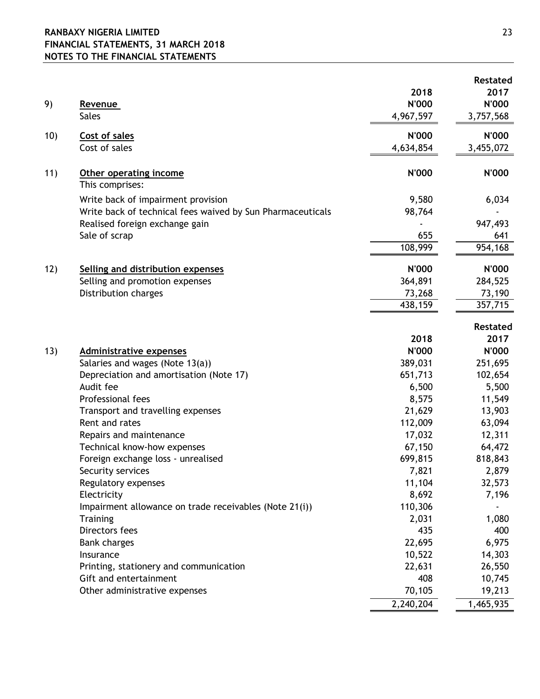# **RANBAXY NIGERIA LIMITED** 23 **FINANCIAL STATEMENTS, 31 MARCH 2018 NOTES TO THE FINANCIAL STATEMENTS**

|     |                                                            |              | <b>Restated</b> |
|-----|------------------------------------------------------------|--------------|-----------------|
|     |                                                            | 2018         | 2017            |
| 9)  | Revenue                                                    | <b>N'000</b> | <b>N'000</b>    |
|     | <b>Sales</b>                                               | 4,967,597    | 3,757,568       |
| 10) | Cost of sales                                              | <b>N'000</b> | <b>N'000</b>    |
|     | Cost of sales                                              | 4,634,854    | 3,455,072       |
| 11) | Other operating income<br>This comprises:                  | <b>N'000</b> | <b>N'000</b>    |
|     | Write back of impairment provision                         | 9,580        | 6,034           |
|     | Write back of technical fees waived by Sun Pharmaceuticals | 98,764       |                 |
|     | Realised foreign exchange gain                             |              | 947,493         |
|     | Sale of scrap                                              | 655          | 641             |
|     |                                                            | 108,999      | 954,168         |
| 12) | Selling and distribution expenses                          | <b>N'000</b> | <b>N'000</b>    |
|     | Selling and promotion expenses                             | 364,891      | 284,525         |
|     | Distribution charges                                       | 73,268       | 73,190          |
|     |                                                            | 438,159      | 357,715         |
|     |                                                            |              | <b>Restated</b> |
|     |                                                            | 2018         | 2017            |
| 13) | <b>Administrative expenses</b>                             | <b>N'000</b> | <b>N'000</b>    |
|     | Salaries and wages (Note 13(a))                            | 389,031      | 251,695         |
|     | Depreciation and amortisation (Note 17)                    | 651,713      | 102,654         |
|     | Audit fee                                                  | 6,500        | 5,500           |
|     | Professional fees                                          | 8,575        | 11,549          |
|     | Transport and travelling expenses                          | 21,629       | 13,903          |
|     | Rent and rates                                             | 112,009      | 63,094          |
|     | Repairs and maintenance                                    | 17,032       | 12,311          |
|     | Technical know-how expenses                                | 67,150       | 64,472          |
|     | Foreign exchange loss - unrealised                         | 699,815      | 818,843         |
|     | Security services                                          | 7,821        | 2,879           |
|     | Regulatory expenses                                        | 11,104       | 32,573          |
|     | Electricity                                                | 8,692        | 7,196           |
|     | Impairment allowance on trade receivables (Note 21(i))     | 110,306      |                 |
|     | <b>Training</b>                                            | 2,031        | 1,080           |
|     | Directors fees                                             | 435          | 400             |
|     | <b>Bank charges</b>                                        | 22,695       | 6,975           |
|     | Insurance                                                  | 10,522       | 14,303          |
|     | Printing, stationery and communication                     | 22,631       | 26,550          |
|     | Gift and entertainment                                     | 408          | 10,745          |
|     | Other administrative expenses                              | 70,105       | 19,213          |
|     |                                                            | 2,240,204    | 1,465,935       |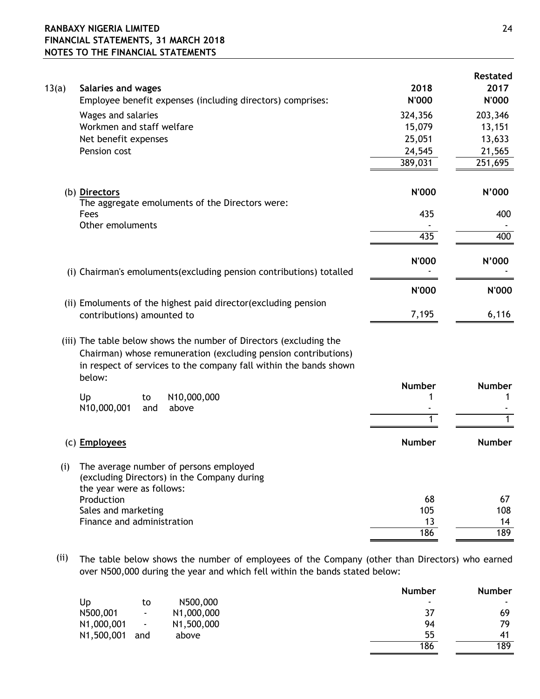# **RANBAXY NIGERIA LIMITED** 24 **FINANCIAL STATEMENTS, 31 MARCH 2018 NOTES TO THE FINANCIAL STATEMENTS**

| 13(a) | Salaries and wages                                                                                                                                                                                        | 2018          | <b>Restated</b><br>2017 |
|-------|-----------------------------------------------------------------------------------------------------------------------------------------------------------------------------------------------------------|---------------|-------------------------|
|       | Employee benefit expenses (including directors) comprises:                                                                                                                                                | <b>N'000</b>  | <b>N'000</b>            |
|       | Wages and salaries                                                                                                                                                                                        | 324,356       | 203,346                 |
|       | Workmen and staff welfare                                                                                                                                                                                 | 15,079        | 13,151                  |
|       | Net benefit expenses                                                                                                                                                                                      | 25,051        | 13,633                  |
|       | Pension cost                                                                                                                                                                                              | 24,545        | 21,565                  |
|       |                                                                                                                                                                                                           | 389,031       | 251,695                 |
|       | (b) Directors                                                                                                                                                                                             | <b>N'000</b>  | N'000                   |
|       | The aggregate emoluments of the Directors were:<br>Fees                                                                                                                                                   | 435           | 400                     |
|       | Other emoluments                                                                                                                                                                                          | 435           | 400                     |
|       | (i) Chairman's emoluments (excluding pension contributions) totalled                                                                                                                                      | <b>N'000</b>  | N'000                   |
|       |                                                                                                                                                                                                           | <b>N'000</b>  | <b>N'000</b>            |
|       | (ii) Emoluments of the highest paid director (excluding pension<br>contributions) amounted to                                                                                                             | 7,195         | 6,116                   |
|       | (iii) The table below shows the number of Directors (excluding the<br>Chairman) whose remuneration (excluding pension contributions)<br>in respect of services to the company fall within the bands shown |               |                         |
|       | below:                                                                                                                                                                                                    | <b>Number</b> | <b>Number</b>           |
|       | N10,000,000<br>Up<br>to                                                                                                                                                                                   | 1             | 1                       |
|       | N10,000,001<br>above<br>and                                                                                                                                                                               |               |                         |
|       |                                                                                                                                                                                                           | 1             | 1                       |
|       | (c) Employees                                                                                                                                                                                             | <b>Number</b> | <b>Number</b>           |
| (i)   | The average number of persons employed<br>(excluding Directors) in the Company during<br>the year were as follows:                                                                                        |               |                         |
|       | Production                                                                                                                                                                                                | 68            | 67                      |
|       | Sales and marketing                                                                                                                                                                                       | 105           | 108                     |
|       | Finance and administration                                                                                                                                                                                | 13            | 14                      |
|       |                                                                                                                                                                                                           | 186           | 189                     |

 (ii) The table below shows the number of employees of the Company (other than Directors) who earned over N500,000 during the year and which fell within the bands stated below:

|            |                |                         | <b>Number</b>            | <b>Number</b>  |
|------------|----------------|-------------------------|--------------------------|----------------|
| Up         | to             | N500,000                | $\overline{\phantom{0}}$ | $\blacksquare$ |
| N500,001   | $\blacksquare$ | N <sub>1</sub> ,000,000 | 37                       | 69             |
| N1,000,001 | $\blacksquare$ | N1,500,000              | 94                       | 79             |
| N1,500,001 | and            | above                   | 55                       | 41             |
|            |                |                         | 186                      | 189            |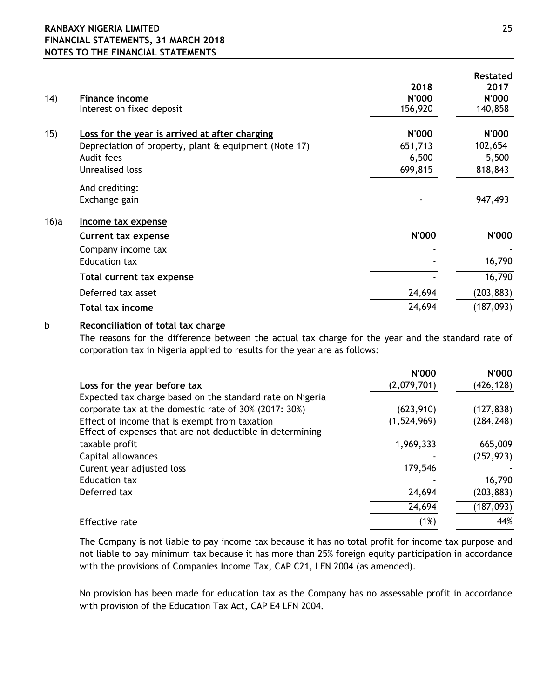# **RANBAXY NIGERIA LIMITED** 25 **FINANCIAL STATEMENTS, 31 MARCH 2018 NOTES TO THE FINANCIAL STATEMENTS**

|         |                                                       |              | <b>Restated</b> |
|---------|-------------------------------------------------------|--------------|-----------------|
|         |                                                       | 2018         | 2017            |
| 14)     | <b>Finance income</b>                                 | <b>N'000</b> | <b>N'000</b>    |
|         | Interest on fixed deposit                             | 156,920      | 140,858         |
| 15)     | Loss for the year is arrived at after charging        | N'000        | <b>N'000</b>    |
|         | Depreciation of property, plant & equipment (Note 17) | 651,713      | 102,654         |
|         | Audit fees                                            | 6,500        | 5,500           |
|         | Unrealised loss                                       | 699,815      | 818,843         |
|         | And crediting:                                        |              |                 |
|         | Exchange gain                                         |              | 947,493         |
| $16$ )a | Income tax expense                                    |              |                 |
|         | Current tax expense                                   | <b>N'000</b> | N'000           |
|         | Company income tax                                    |              |                 |
|         | <b>Education tax</b>                                  |              | 16,790          |
|         | Total current tax expense                             |              | 16,790          |
|         | Deferred tax asset                                    | 24,694       | (203, 883)      |
|         | <b>Total tax income</b>                               | 24,694       | (187, 093)      |

## b **Reconciliation of total tax charge**

The reasons for the difference between the actual tax charge for the year and the standard rate of corporation tax in Nigeria applied to results for the year are as follows:

|                                                           | <b>N'000</b> | <b>N'000</b> |
|-----------------------------------------------------------|--------------|--------------|
| Loss for the year before tax                              | (2,079,701)  | (426, 128)   |
| Expected tax charge based on the standard rate on Nigeria |              |              |
| corporate tax at the domestic rate of 30% (2017: 30%)     | (623, 910)   | (127, 838)   |
| Effect of income that is exempt from taxation             | (1,524,969)  | (284, 248)   |
| Effect of expenses that are not deductible in determining |              |              |
| taxable profit                                            | 1,969,333    | 665,009      |
| Capital allowances                                        |              | (252, 923)   |
| Curent year adjusted loss                                 | 179,546      |              |
| <b>Education tax</b>                                      |              | 16,790       |
| Deferred tax                                              | 24,694       | (203, 883)   |
|                                                           | 24,694       | (187, 093)   |
| Effective rate                                            | (1%)         | 44%          |

The Company is not liable to pay income tax because it has no total profit for income tax purpose and not liable to pay minimum tax because it has more than 25% foreign equity participation in accordance with the provisions of Companies Income Tax, CAP C21, LFN 2004 (as amended).

No provision has been made for education tax as the Company has no assessable profit in accordance with provision of the Education Tax Act, CAP E4 LFN 2004.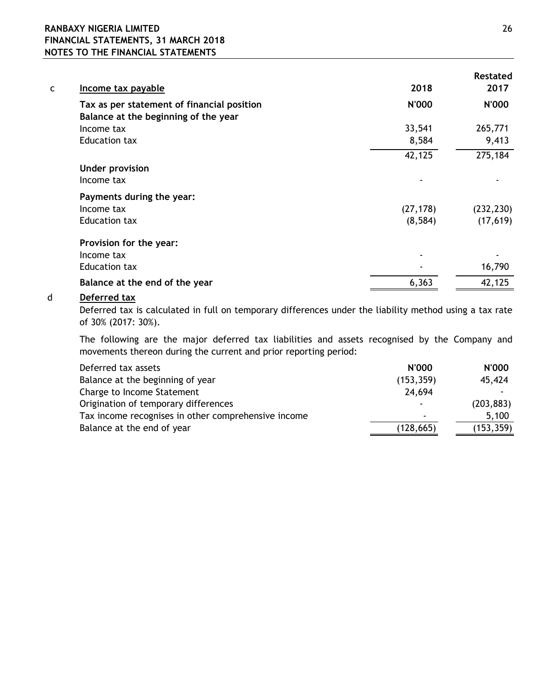# **RANBAXY NIGERIA LIMITED** 26 **FINANCIAL STATEMENTS, 31 MARCH 2018 NOTES TO THE FINANCIAL STATEMENTS**

|                                            |           | Restated     |
|--------------------------------------------|-----------|--------------|
| Income tax payable<br>C                    | 2018      | 2017         |
| Tax as per statement of financial position | N'000     | <b>N'000</b> |
| Balance at the beginning of the year       |           |              |
| Income tax                                 | 33,541    | 265,771      |
| <b>Education tax</b>                       | 8,584     | 9,413        |
|                                            | 42,125    | 275,184      |
| <b>Under provision</b>                     |           |              |
| Income tax                                 |           |              |
| Payments during the year:                  |           |              |
| Income tax                                 | (27, 178) | (232, 230)   |
| Education tax                              | (8, 584)  | (17, 619)    |
| Provision for the year:                    |           |              |
| Income tax                                 |           |              |
| Education tax                              |           | 16,790       |
| Balance at the end of the year             | 6,363     | 42,125       |

# d **Deferred tax**

Deferred tax is calculated in full on temporary differences under the liability method using a tax rate of 30% (2017: 30%).

The following are the major deferred tax liabilities and assets recognised by the Company and movements thereon during the current and prior reporting period:

| Deferred tax assets                                 | <b>N'000</b> | <b>N'000</b> |
|-----------------------------------------------------|--------------|--------------|
| Balance at the beginning of year                    | (153, 359)   | 45,424       |
| Charge to Income Statement                          | 24,694       |              |
| Origination of temporary differences                |              | (203, 883)   |
| Tax income recognises in other comprehensive income |              | 5,100        |
| Balance at the end of year                          | (128, 665)   | (153, 359)   |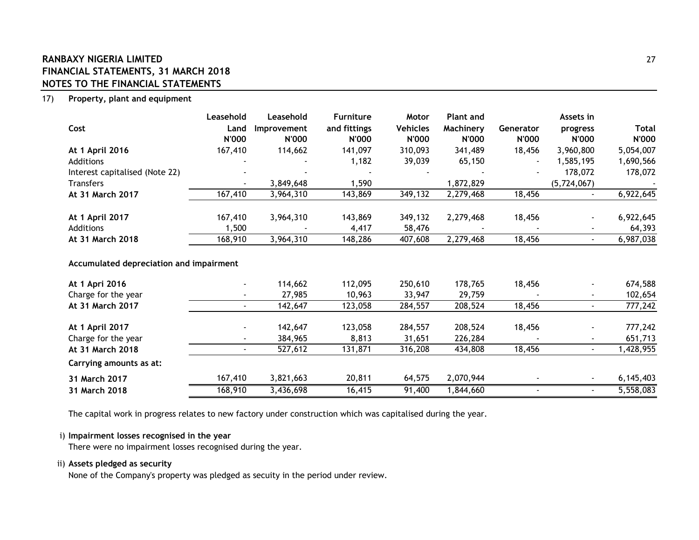# **RANBAXY NIGERIA LIMITED** 27 **FINANCIAL STATEMENTS, 31 MARCH 2018 NOTES TO THE FINANCIAL STATEMENTS**

## 17) **Property, plant and equipment**

| Cost                                    | Leasehold<br>Land<br><b>N'000</b> | Leasehold<br>Improvement<br>N'000 | <b>Furniture</b><br>and fittings<br>N'000 | Motor<br><b>Vehicles</b><br>N'000 | <b>Plant and</b><br>Machinery<br><b>N'000</b> | Generator<br>N'000 | Assets in<br>progress<br><b>N'000</b> | <b>Total</b><br>N'000 |
|-----------------------------------------|-----------------------------------|-----------------------------------|-------------------------------------------|-----------------------------------|-----------------------------------------------|--------------------|---------------------------------------|-----------------------|
| At 1 April 2016                         | 167,410                           | 114,662                           | 141,097                                   | 310,093                           | 341,489                                       | 18,456             | 3,960,800                             | 5,054,007             |
| Additions                               |                                   |                                   | 1,182                                     | 39,039                            | 65,150                                        |                    | 1,585,195                             | 1,690,566             |
| Interest capitalised (Note 22)          |                                   |                                   |                                           |                                   |                                               |                    | 178,072                               | 178,072               |
| <b>Transfers</b>                        |                                   | 3,849,648                         | 1,590                                     |                                   | 1,872,829                                     |                    | (5, 724, 067)                         |                       |
| At 31 March 2017                        | 167,410                           | 3,964,310                         | 143,869                                   | 349,132                           | 2,279,468                                     | 18,456             |                                       | 6,922,645             |
| At 1 April 2017                         | 167,410                           | 3,964,310                         | 143,869                                   | 349,132                           | 2,279,468                                     | 18,456             |                                       | 6,922,645             |
| Additions                               | 1,500                             |                                   | 4,417                                     | 58,476                            |                                               |                    |                                       | 64,393                |
| At 31 March 2018                        | 168,910                           | 3,964,310                         | 148,286                                   | 407,608                           | 2,279,468                                     | 18,456             | $\overline{\phantom{a}}$              | 6,987,038             |
| Accumulated depreciation and impairment |                                   |                                   |                                           |                                   |                                               |                    |                                       |                       |
| At 1 Apri 2016                          |                                   | 114,662                           | 112,095                                   | 250,610                           | 178,765                                       | 18,456             |                                       | 674,588               |
| Charge for the year                     |                                   | 27,985                            | 10,963                                    | 33,947                            | 29,759                                        |                    |                                       | 102,654               |
| At 31 March 2017                        |                                   | 142,647                           | 123,058                                   | 284,557                           | 208,524                                       | 18,456             | $\blacksquare$                        | 777,242               |
| At 1 April 2017                         |                                   | 142,647                           | 123,058                                   | 284,557                           | 208,524                                       | 18,456             |                                       | 777,242               |
| Charge for the year                     |                                   | 384,965                           | 8,813                                     | 31,651                            | 226,284                                       |                    |                                       | 651,713               |
| At 31 March 2018                        | $\sim$                            | 527,612                           | 131,871                                   | 316,208                           | 434,808                                       | 18,456             | $\sim$                                | 1,428,955             |
| Carrying amounts as at:                 |                                   |                                   |                                           |                                   |                                               |                    |                                       |                       |
| 31 March 2017                           | 167,410                           | 3,821,663                         | 20,811                                    | 64,575                            | 2,070,944                                     |                    |                                       | 6,145,403             |
| 31 March 2018                           | 168,910                           | 3,436,698                         | 16,415                                    | 91,400                            | 1,844,660                                     | $\blacksquare$     | $\blacksquare$                        | 5,558,083             |

The capital work in progress relates to new factory under construction which was capitalised during the year.

# i) **Impairment losses recognised in the year**

There were no impairment losses recognised during the year.

# ii) **Assets pledged as security**

None of the Company's property was pledged as secuity in the period under review.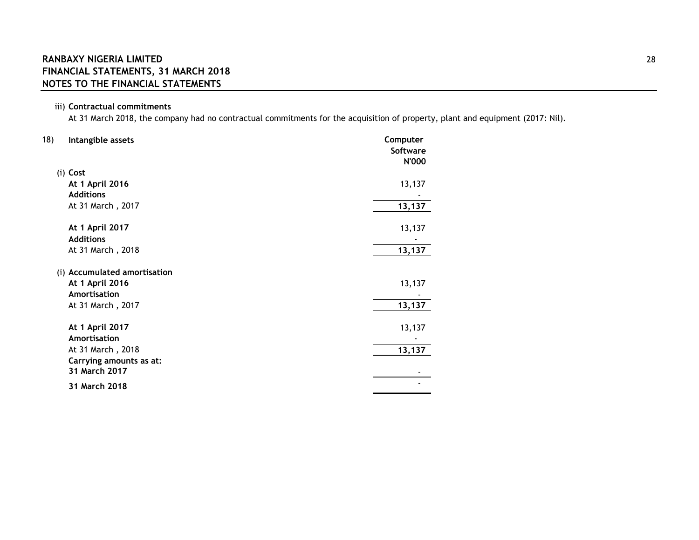# **RANBAXY NIGERIA LIMITED** 28 **FINANCIAL STATEMENTS, 31 MARCH 2018 NOTES TO THE FINANCIAL STATEMENTS**

# iii) **Contractual commitments**

At 31 March 2018, the company had no contractual commitments for the acquisition of property, plant and equipment (2017: Nil).

| 18) | Intangible assets            | Computer<br>Software<br><b>N'000</b> |
|-----|------------------------------|--------------------------------------|
|     | (i) Cost                     |                                      |
|     | At 1 April 2016              | 13,137                               |
|     | <b>Additions</b>             |                                      |
|     | At 31 March, 2017            | 13,137                               |
|     | At 1 April 2017              | 13,137                               |
|     | <b>Additions</b>             |                                      |
|     | At 31 March, 2018            | 13,137                               |
|     | (i) Accumulated amortisation |                                      |
|     | At 1 April 2016              | 13,137                               |
|     | Amortisation                 |                                      |
|     | At 31 March, 2017            | 13,137                               |
|     | At 1 April 2017              | 13,137                               |
|     | Amortisation                 |                                      |
|     | At 31 March, 2018            | 13,137                               |
|     | Carrying amounts as at:      |                                      |
|     | 31 March 2017                |                                      |
|     | 31 March 2018                |                                      |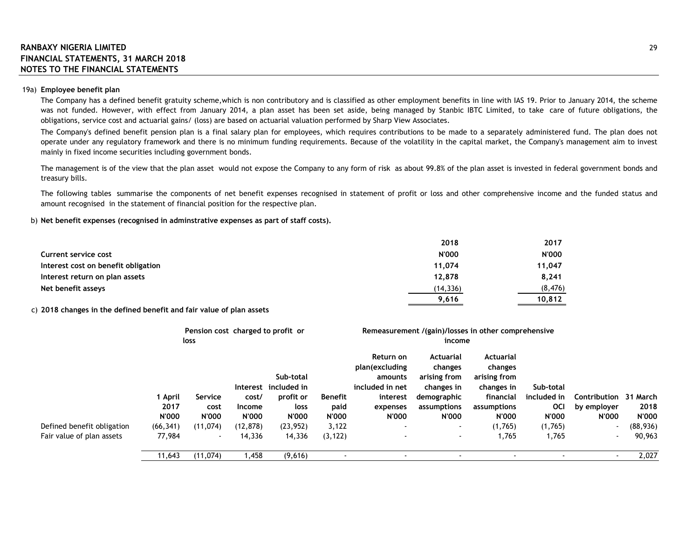#### 19a) **Employee benefit plan**

The Company has a defined benefit gratuity scheme,which is non contributory and is classified as other employment benefits in line with IAS 19. Prior to January 2014, the scheme was not funded. However, with effect from January 2014, a plan asset has been set aside, being managed by Stanbic IBTC Limited, to take care of future obligations, the obligations, service cost and actuarial gains/ (loss) are based on actuarial valuation performed by Sharp View Associates.

The Company's defined benefit pension plan is a final salary plan for employees, which requires contributions to be made to a separately administered fund. The plan does not operate under any regulatory framework and there is no minimum funding requirements. Because of the volatility in the capital market, the Company's management aim to invest mainly in fixed income securities including government bonds.

The management is of the view that the plan asset would not expose the Company to any form of risk as about 99.8% of the plan asset is invested in federal government bonds and treasury bills.

The following tables summarise the components of net benefit expenses recognised in statement of profit or loss and other comprehensive income and the funded status and amount recognised in the statement of financial position for the respective plan.

#### b) **Net benefit expenses (recognised in adminstrative expenses as part of staff costs).**

|                                     | 2018         | 2017         |
|-------------------------------------|--------------|--------------|
| Current service cost                | <b>N'000</b> | <b>N'000</b> |
| Interest cost on benefit obligation | 11.074       | 11,047       |
| Interest return on plan assets      | 12,878       | 8,241        |
| Net benefit asseys                  | (14, 336)    | (8, 476)     |
|                                     | 9,616        | 10,812       |

#### c) **2018 changes in the defined benefit and fair value of plan assets**

|                            |                 | Pension cost charged to profit or<br>loss |                        |                                   | Remeasurement /(gain)/losses in other comprehensive<br>income |                                                           |                                                    |                                                    |                    |                                      |              |
|----------------------------|-----------------|-------------------------------------------|------------------------|-----------------------------------|---------------------------------------------------------------|-----------------------------------------------------------|----------------------------------------------------|----------------------------------------------------|--------------------|--------------------------------------|--------------|
|                            |                 |                                           |                        | Sub-total<br>Interest included in |                                                               | Return on<br>plan(excluding<br>amounts<br>included in net | Actuarial<br>changes<br>arising from<br>changes in | Actuarial<br>changes<br>arising from<br>changes in | Sub-total          |                                      |              |
|                            | 1 April<br>2017 | Service<br>cost                           | cost/<br><b>Income</b> | profit or<br>loss                 | <b>Benefit</b><br>paid                                        | interest<br>expenses                                      | demographic<br>assumptions                         | financial<br>assumptions                           | included in<br>OCI | Contribution 31 March<br>by employer | 2018         |
|                            | <b>N'000</b>    | <b>N'000</b>                              | <b>N'000</b>           | <b>N'000</b>                      | <b>N'000</b>                                                  | <b>N'000</b>                                              | <b>N'000</b>                                       | <b>N'000</b>                                       | <b>N'000</b>       | <b>N'000</b>                         | <b>N'000</b> |
| Defined benefit obligation | (66, 341)       | (11, 074)                                 | (12, 878)              | (23, 952)                         | 3,122                                                         |                                                           | $\overline{\phantom{a}}$                           | (1,765)                                            | (1,765)            |                                      | (88, 936)    |
| Fair value of plan assets  | 77,984          | $\overline{\phantom{a}}$                  | 14,336                 | 14,336                            | (3, 122)                                                      |                                                           | $\overline{\phantom{a}}$                           | 1,765                                              | 1,765              |                                      | 90,963       |
|                            | 11,643          | (11, 074)                                 | 1,458                  | (9,616)                           |                                                               |                                                           |                                                    | $\overline{\phantom{a}}$                           |                    |                                      | 2,027        |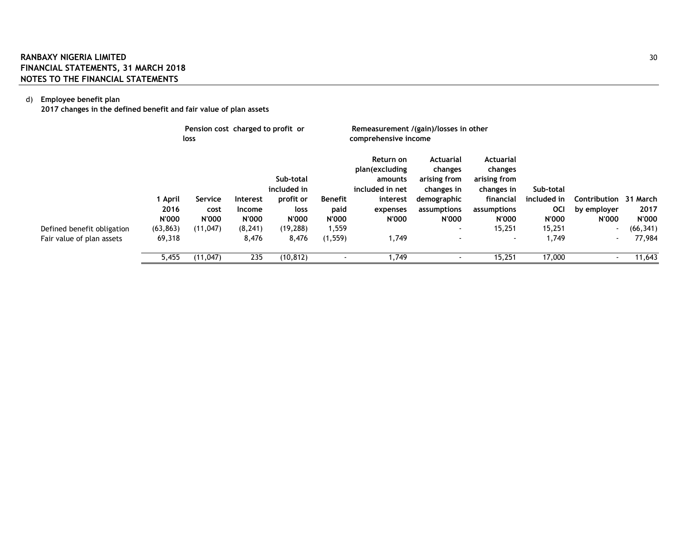## **RANBAXY NIGERIA LIMITED** 30 **FINANCIAL STATEMENTS, 31 MARCH 2018 NOTES TO THE FINANCIAL STATEMENTS**

## d) **Employee benefit plan**

**2017 changes in the defined benefit and fair value of plan assets**

|                            |               | Pension cost charged to profit or<br>loss |                    |                                               |                        | Remeasurement /(gain)/losses in other<br>comprehensive income                     |                                                                                         |                                                                                       |                                        |                             |                  |
|----------------------------|---------------|-------------------------------------------|--------------------|-----------------------------------------------|------------------------|-----------------------------------------------------------------------------------|-----------------------------------------------------------------------------------------|---------------------------------------------------------------------------------------|----------------------------------------|-----------------------------|------------------|
|                            | April<br>2016 | Service<br>cost                           | Interest<br>Income | Sub-total<br>included in<br>profit or<br>loss | <b>Benefit</b><br>paid | Return on<br>plan(excluding<br>amounts<br>included in net<br>interest<br>expenses | <b>Actuarial</b><br>changes<br>arising from<br>changes in<br>demographic<br>assumptions | <b>Actuarial</b><br>changes<br>arising from<br>changes in<br>financial<br>assumptions | Sub-total<br>included in<br><b>OCI</b> | Contribution<br>by employer | 31 March<br>2017 |
|                            | <b>N'000</b>  | <b>N'000</b>                              | <b>N'000</b>       | <b>N'000</b>                                  | <b>N'000</b>           | <b>N'000</b>                                                                      | <b>N'000</b>                                                                            | <b>N'000</b>                                                                          | <b>N'000</b>                           | <b>N'000</b>                | <b>N'000</b>     |
| Defined benefit obligation | (63, 863)     | (11, 047)                                 | (8, 241)           | (19, 288)                                     | 1,559                  |                                                                                   |                                                                                         | 15.251                                                                                | 15.251                                 |                             | (66, 341)        |
| Fair value of plan assets  | 69,318        |                                           | 8,476              | 8,476                                         | (1, 559)               | 749. ا                                                                            | $\overline{\phantom{0}}$                                                                | $\overline{\phantom{a}}$                                                              | 1,749                                  |                             | 77,984           |
|                            | 5,455         | (11, 047)                                 | 235                | (10, 812)                                     |                        | .749                                                                              |                                                                                         | 15.251                                                                                | 17,000                                 |                             | 11,643           |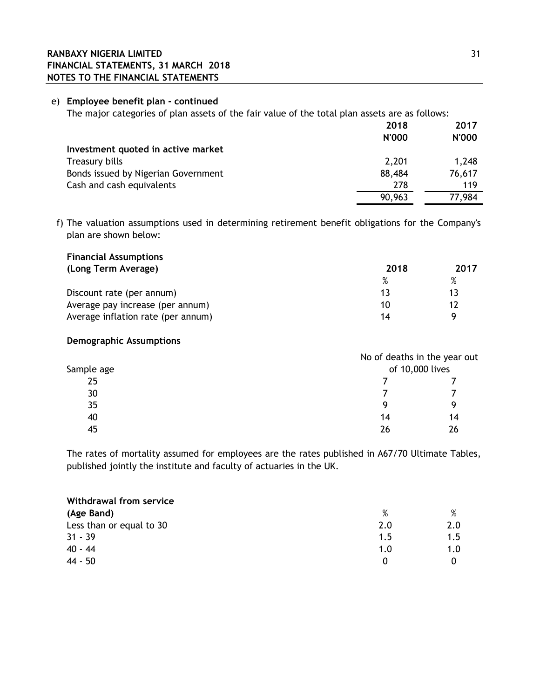# **RANBAXY NIGERIA LIMITED** 31 **FINANCIAL STATEMENTS, 31 MARCH 2018 NOTES TO THE FINANCIAL STATEMENTS**

# e) **Employee benefit plan - continued**

The major categories of plan assets of the fair value of the total plan assets are as follows:

|                                     | 2018         | 2017         |
|-------------------------------------|--------------|--------------|
|                                     | <b>N'000</b> | <b>N'000</b> |
| Investment quoted in active market  |              |              |
| Treasury bills                      | 2,201        | 1,248        |
| Bonds issued by Nigerian Government | 88,484       | 76,617       |
| Cash and cash equivalents           | 278          | 119          |
|                                     | 90,963       | 77,984       |

f) The valuation assumptions used in determining retirement benefit obligations for the Company's plan are shown below:

| <b>Financial Assumptions</b>       |      |      |
|------------------------------------|------|------|
| (Long Term Average)                | 2018 | 2017 |
|                                    | $\%$ | %    |
| Discount rate (per annum)          | 13   | 13   |
| Average pay increase (per annum)   | 10   | 17   |
| Average inflation rate (per annum) | 14   | Q    |

## **Demographic Assumptions**

| No of deaths in the year out |                 |  |  |
|------------------------------|-----------------|--|--|
|                              |                 |  |  |
|                              |                 |  |  |
|                              |                 |  |  |
|                              | Q               |  |  |
| 14                           | 14              |  |  |
| 26                           | 26              |  |  |
|                              | of 10,000 lives |  |  |

The rates of mortality assumed for employees are the rates published in A67/70 Ultimate Tables, published jointly the institute and faculty of actuaries in the UK.

| Withdrawal from service  |          |     |
|--------------------------|----------|-----|
| (Age Band)               | %        | %   |
| Less than or equal to 30 | 2.0      | 2.0 |
| $31 - 39$                | 1.5      | 1.5 |
| $40 - 44$                | 1.0      | 1.0 |
| 44 - 50                  | $\Omega$ |     |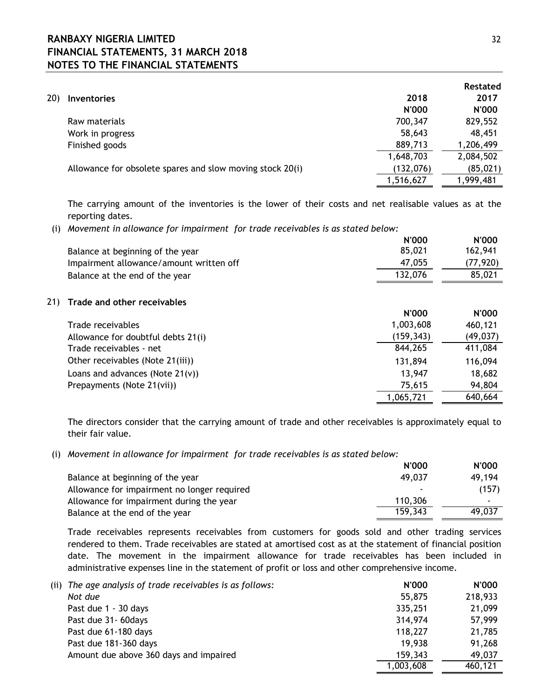# **RANBAXY NIGERIA LIMITED** 32 **FINANCIAL STATEMENTS, 31 MARCH 2018 NOTES TO THE FINANCIAL STATEMENTS**

|     |                                                           |              | Restated  |
|-----|-----------------------------------------------------------|--------------|-----------|
| 20) | <b>Inventories</b>                                        | 2018         | 2017      |
|     |                                                           | <b>N'000</b> | N'000     |
|     | Raw materials                                             | 700,347      | 829,552   |
|     | Work in progress                                          | 58,643       | 48,451    |
|     | Finished goods                                            | 889,713      | 1,206,499 |
|     |                                                           | 1,648,703    | 2,084,502 |
|     | Allowance for obsolete spares and slow moving stock 20(i) | (132,076)    | (85, 021) |
|     |                                                           | 1,516,627    | 1,999,481 |
|     |                                                           |              |           |

The carrying amount of the inventories is the lower of their costs and net realisable values as at the reporting dates.

(i) *Movement in allowance for impairment for trade receivables is as stated below:*

|                                         | <b>N'000</b> | N'000     |
|-----------------------------------------|--------------|-----------|
| Balance at beginning of the year        | 85,021       | 162,941   |
| Impairment allowance/amount written off | 47,055       | (77, 920) |
| Balance at the end of the year          | 132,076      | 85,021    |
| Trade and other receivables<br>21)      |              |           |
|                                         | <b>N'000</b> | N'000     |
| Trade receivables                       | 1,003,608    | 460,121   |
| Allowance for doubtful debts 21(i)      | (159, 343)   | (49, 037) |
| Trade receivables - net                 | 844,265      | 411,084   |
| Other receivables (Note 21(iii))        | 131,894      | 116,094   |
| Loans and advances (Note $21(v)$ )      | 13,947       | 18,682    |
| Prepayments (Note 21(vii))              | 75,615       | 94,804    |
|                                         | 1,065,721    | 640,664   |

The directors consider that the carrying amount of trade and other receivables is approximately equal to their fair value.

(i) *Movement in allowance for impairment for trade receivables is as stated below:*

|                                             | <b>N'000</b> | <b>N'000</b>             |
|---------------------------------------------|--------------|--------------------------|
| Balance at beginning of the year            | 49.037       | 49.194                   |
| Allowance for impairment no longer required |              | (157)                    |
| Allowance for impairment during the year    | 110,306      | $\overline{\phantom{a}}$ |
| Balance at the end of the year              | 159.343      | 49,037                   |

Trade receivables represents receivables from customers for goods sold and other trading services rendered to them. Trade receivables are stated at amortised cost as at the statement of financial position date. The movement in the impairment allowance for trade receivables has been included in administrative expenses line in the statement of profit or loss and other comprehensive income.

| (ii) The age analysis of trade receivables is as follows: | <b>N'000</b> | <b>N'000</b> |
|-----------------------------------------------------------|--------------|--------------|
| Not due                                                   | 55,875       | 218,933      |
| Past due 1 - 30 days                                      | 335,251      | 21,099       |
| Past due 31-60 days                                       | 314,974      | 57,999       |
| Past due 61-180 days                                      | 118,227      | 21,785       |
| Past due 181-360 days                                     | 19,938       | 91,268       |
| Amount due above 360 days and impaired                    | 159,343      | 49,037       |
|                                                           | 1,003,608    | 460,121      |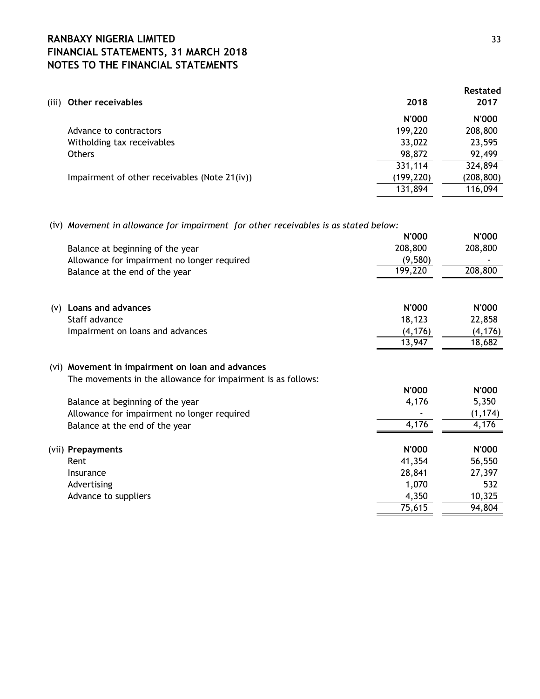# **RANBAXY NIGERIA LIMITED** 33 **FINANCIAL STATEMENTS, 31 MARCH 2018 NOTES TO THE FINANCIAL STATEMENTS**

|                                               |              | Restated     |
|-----------------------------------------------|--------------|--------------|
| Other receivables                             | 2018         | 2017         |
|                                               | <b>N'000</b> | <b>N'000</b> |
| Advance to contractors                        | 199,220      | 208,800      |
| Witholding tax receivables                    | 33,022       | 23,595       |
| <b>Others</b>                                 | 98,872       | 92,499       |
|                                               | 331,114      | 324,894      |
| Impairment of other receivables (Note 21(iv)) | (199, 220)   | (208, 800)   |
|                                               | 131,894      | 116,094      |
|                                               |              |              |

(iv) *Movement in allowance for impairment for other receivables is as stated below:*

|     |                                                              | <b>N'000</b> | N'000        |
|-----|--------------------------------------------------------------|--------------|--------------|
|     | Balance at beginning of the year                             | 208,800      | 208,800      |
|     | Allowance for impairment no longer required                  | (9,580)      |              |
|     | Balance at the end of the year                               | 199,220      | 208,800      |
|     |                                                              |              |              |
| (v) | Loans and advances                                           | N'000        | <b>N'000</b> |
|     | Staff advance                                                | 18,123       | 22,858       |
|     | Impairment on loans and advances                             | (4, 176)     | (4, 176)     |
|     |                                                              | 13,947       | 18,682       |
|     | (vi) Movement in impairment on loan and advances             |              |              |
|     | The movements in the allowance for impairment is as follows: |              |              |
|     |                                                              | N'000        | <b>N'000</b> |
|     | Balance at beginning of the year                             | 4,176        | 5,350        |
|     | Allowance for impairment no longer required                  |              | (1, 174)     |
|     | Balance at the end of the year                               | 4,176        | 4,176        |
|     | (vii) Prepayments                                            | <b>N'000</b> | N'000        |
|     | Rent                                                         | 41,354       | 56,550       |
|     | Insurance                                                    | 28,841       | 27,397       |
|     | Advertising                                                  | 1,070        | 532          |
|     | Advance to suppliers                                         | 4,350        | 10,325       |
|     |                                                              | 75,615       | 94,804       |
|     |                                                              |              |              |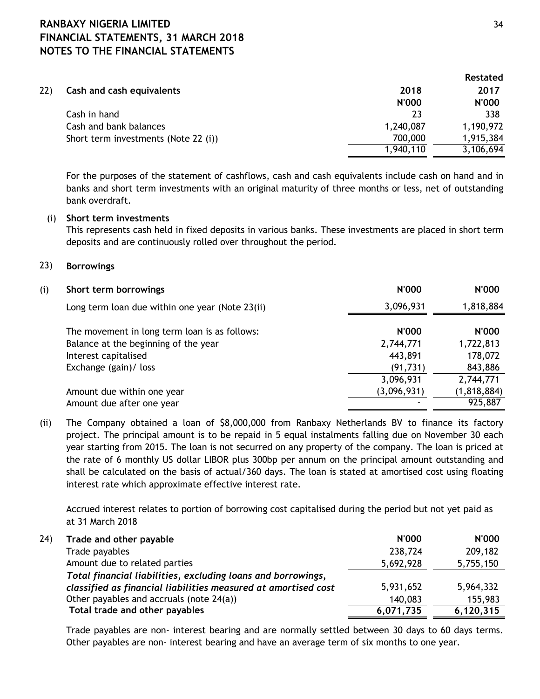# **RANBAXY NIGERIA LIMITED** 34 **FINANCIAL STATEMENTS, 31 MARCH 2018 NOTES TO THE FINANCIAL STATEMENTS**

|     |                                      |              | <b>Restated</b> |
|-----|--------------------------------------|--------------|-----------------|
| 22) | Cash and cash equivalents            | 2018         | 2017            |
|     |                                      | <b>N'000</b> | <b>N'000</b>    |
|     | Cash in hand                         | 23           | 338             |
|     | Cash and bank balances               | 1,240,087    | 1,190,972       |
|     | Short term investments (Note 22 (i)) | 700,000      | 1,915,384       |
|     |                                      | 1,940,110    | 3,106,694       |
|     |                                      |              |                 |

For the purposes of the statement of cashflows, cash and cash equivalents include cash on hand and in banks and short term investments with an original maturity of three months or less, net of outstanding bank overdraft.

# (i) **Short term investments**

This represents cash held in fixed deposits in various banks. These investments are placed in short term deposits and are continuously rolled over throughout the period.

## 23) **Borrowings**

| (i) | Short term borrowings                           | <b>N'000</b> | N'000       |
|-----|-------------------------------------------------|--------------|-------------|
|     | Long term loan due within one year (Note 23(ii) | 3,096,931    | 1,818,884   |
|     | The movement in long term loan is as follows:   | <b>N'000</b> | N'000       |
|     | Balance at the beginning of the year            | 2,744,771    | 1,722,813   |
|     | Interest capitalised                            | 443,891      | 178,072     |
|     | Exchange (gain)/ loss                           | (91, 731)    | 843,886     |
|     |                                                 | 3,096,931    | 2,744,771   |
|     | Amount due within one year                      | (3,096,931)  | (1,818,884) |
|     | Amount due after one year                       |              | 925,887     |
|     |                                                 |              |             |

(ii) The Company obtained a loan of \$8,000,000 from Ranbaxy Netherlands BV to finance its factory project. The principal amount is to be repaid in 5 equal instalments falling due on November 30 each year starting from 2015. The loan is not securred on any property of the company. The loan is priced at the rate of 6 monthly US dollar LIBOR plus 300bp per annum on the principal amount outstanding and shall be calculated on the basis of actual/360 days. The loan is stated at amortised cost using floating interest rate which approximate effective interest rate.

Accrued interest relates to portion of borrowing cost capitalised during the period but not yet paid as at 31 March 2018

| 24) | Trade and other payable                                        | <b>N'000</b> | <b>N'000</b> |
|-----|----------------------------------------------------------------|--------------|--------------|
|     | Trade payables                                                 | 238,724      | 209,182      |
|     | Amount due to related parties                                  | 5,692,928    | 5,755,150    |
|     | Total financial liabilities, excluding loans and borrowings,   |              |              |
|     | classified as financial liabilities measured at amortised cost | 5,931,652    | 5,964,332    |
|     | Other payables and accruals (note 24(a))                       | 140,083      | 155,983      |
|     | Total trade and other payables                                 | 6,071,735    | 6,120,315    |

Trade payables are non- interest bearing and are normally settled between 30 days to 60 days terms. Other payables are non- interest bearing and have an average term of six months to one year.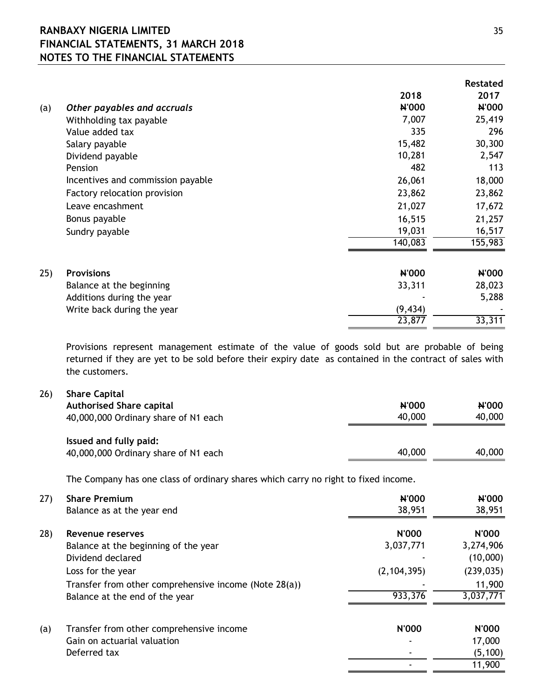# **RANBAXY NIGERIA LIMITED** 35 **FINANCIAL STATEMENTS, 31 MARCH 2018 NOTES TO THE FINANCIAL STATEMENTS**

|     |                                   |              | Restated     |
|-----|-----------------------------------|--------------|--------------|
|     |                                   | 2018         | 2017         |
| (a) | Other payables and accruals       | N'000        | N'000        |
|     | Withholding tax payable           | 7,007        | 25,419       |
|     | Value added tax                   | 335          | 296          |
|     | Salary payable                    | 15,482       | 30,300       |
|     | Dividend payable                  | 10,281       | 2,547        |
|     | Pension                           | 482          | 113          |
|     | Incentives and commission payable | 26,061       | 18,000       |
|     | Factory relocation provision      | 23,862       | 23,862       |
|     | Leave encashment                  | 21,027       | 17,672       |
|     | Bonus payable                     | 16,515       | 21,257       |
|     | Sundry payable                    | 19,031       | 16,517       |
|     |                                   | 140,083      | 155,983      |
| 25) | <b>Provisions</b>                 | <b>N'000</b> | <b>N'000</b> |
|     | Balance at the beginning          | 33,311       | 28,023       |
|     | Additions during the year         |              | 5,288        |
|     | Write back during the year        | (9, 434)     |              |
|     |                                   | 23,877       | 33,311       |

Provisions represent management estimate of the value of goods sold but are probable of being returned if they are yet to be sold before their expiry date as contained in the contract of sales with the customers.

## 26) **Share Capital**

| <b>Authorised Share capital</b>                                | <b>N'000</b> | <b>N'000</b> |
|----------------------------------------------------------------|--------------|--------------|
| 40,000,000 Ordinary share of N1 each                           | 40,000       | 40,000       |
| Issued and fully paid:<br>40,000,000 Ordinary share of N1 each | 40,000       | 40,000       |

The Company has one class of ordinary shares which carry no right to fixed income.

| 27) | <b>Share Premium</b><br>Balance as at the year end    | <b>N'000</b><br>38,951 | <b>N'000</b><br>38,951 |
|-----|-------------------------------------------------------|------------------------|------------------------|
| 28) | Revenue reserves                                      | <b>N'000</b>           | N'000                  |
|     | Balance at the beginning of the year                  | 3,037,771              | 3,274,906              |
|     | Dividend declared                                     |                        | (10,000)               |
|     | Loss for the year                                     | (2, 104, 395)          | (239, 035)             |
|     | Transfer from other comprehensive income (Note 28(a)) |                        | 11,900                 |
|     | Balance at the end of the year                        | 933,376                | 3,037,771              |
| (a) | Transfer from other comprehensive income              | <b>N'000</b>           | <b>N'000</b>           |
|     | Gain on actuarial valuation                           |                        | 17,000                 |
|     | Deferred tax                                          |                        | (5, 100)               |
|     |                                                       |                        | 11,900                 |

 **Restated**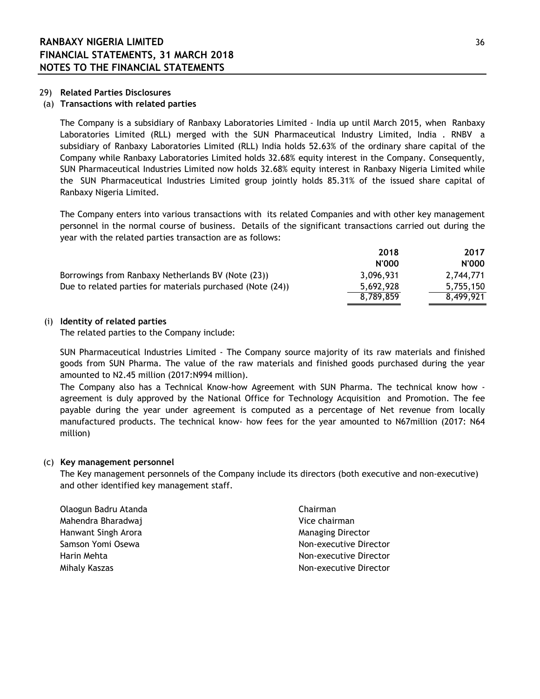## 29) **Related Parties Disclosures**

## (a) **Transactions with related parties**

The Company is a subsidiary of Ranbaxy Laboratories Limited - India up until March 2015, when Ranbaxy Laboratories Limited (RLL) merged with the SUN Pharmaceutical Industry Limited, India . RNBV a subsidiary of Ranbaxy Laboratories Limited (RLL) India holds 52.63% of the ordinary share capital of the Company while Ranbaxy Laboratories Limited holds 32.68% equity interest in the Company. Consequently, SUN Pharmaceutical Industries Limited now holds 32.68% equity interest in Ranbaxy Nigeria Limited while the SUN Pharmaceutical Industries Limited group jointly holds 85.31% of the issued share capital of Ranbaxy Nigeria Limited.

The Company enters into various transactions with its related Companies and with other key management personnel in the normal course of business. Details of the significant transactions carried out during the year with the related parties transaction are as follows:

|                                                            | 2018         | 2017         |
|------------------------------------------------------------|--------------|--------------|
|                                                            | <b>N'000</b> | <b>N'000</b> |
| Borrowings from Ranbaxy Netherlands BV (Note (23))         | 3.096.931    | 2.744.771    |
| Due to related parties for materials purchased (Note (24)) | 5.692.928    | 5.755.150    |
|                                                            | 8,789,859    | 8.499.921    |

## (i) **Identity of related parties**

The related parties to the Company include:

SUN Pharmaceutical Industries Limited - The Company source majority of its raw materials and finished goods from SUN Pharma. The value of the raw materials and finished goods purchased during the year amounted to N2.45 million (2017:N994 million).

The Company also has a Technical Know-how Agreement with SUN Pharma. The technical know how agreement is duly approved by the National Office for Technology Acquisition and Promotion. The fee payable during the year under agreement is computed as a percentage of Net revenue from locally manufactured products. The technical know- how fees for the year amounted to N67million (2017: N64 million)

## (c) **Key management personnel**

The Key management personnels of the Company include its directors (both executive and non-executive) and other identified key management staff.

| Olaogun Badru Atanda | Chairman                 |
|----------------------|--------------------------|
| Mahendra Bharadwaj   | Vice chairman            |
| Hanwant Singh Arora  | <b>Managing Director</b> |
| Samson Yomi Osewa    | Non-executive Director   |
| Harin Mehta          | Non-executive Director   |
| Mihaly Kaszas        | Non-executive Director   |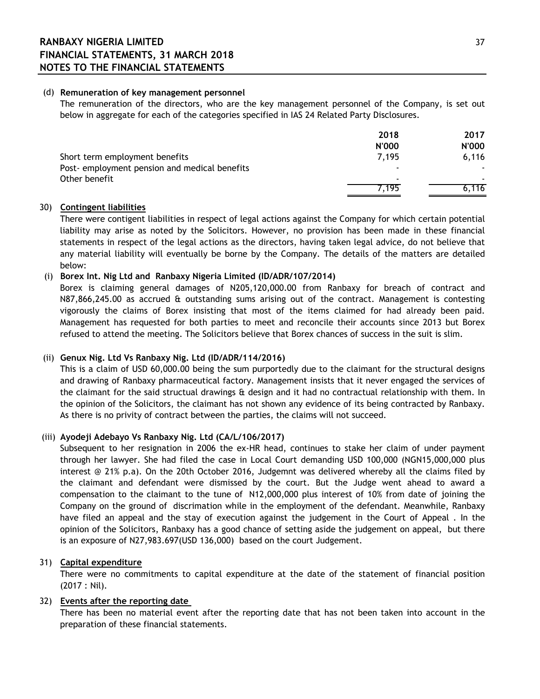## (d) **Remuneration of key management personnel**

The remuneration of the directors, who are the key management personnel of the Company, is set out below in aggregate for each of the categories specified in IAS 24 Related Party Disclosures.

|                                               | 2018         | 2017  |
|-----------------------------------------------|--------------|-------|
|                                               | <b>N'000</b> | N'000 |
| Short term employment benefits                | 7.195        | 6,116 |
| Post- employment pension and medical benefits |              |       |
| Other benefit                                 |              |       |
|                                               | 7.195        | -116  |

## 30) **Contingent liabilities**

There were contigent liabilities in respect of legal actions against the Company for which certain potential liability may arise as noted by the Solicitors. However, no provision has been made in these financial statements in respect of the legal actions as the directors, having taken legal advice, do not believe that any material liability will eventually be borne by the Company. The details of the matters are detailed below:

## (i) **Borex Int. Nig Ltd and Ranbaxy Nigeria Limited (ID/ADR/107/2014)**

Borex is claiming general damages of N205,120,000.00 from Ranbaxy for breach of contract and N87,866,245.00 as accrued & outstanding sums arising out of the contract. Management is contesting vigorously the claims of Borex insisting that most of the items claimed for had already been paid. Management has requested for both parties to meet and reconcile their accounts since 2013 but Borex refused to attend the meeting. The Solicitors believe that Borex chances of success in the suit is slim.

## (ii) **Genux Nig. Ltd Vs Ranbaxy Nig. Ltd (ID/ADR/114/2016)**

This is a claim of USD 60,000.00 being the sum purportedly due to the claimant for the structural designs and drawing of Ranbaxy pharmaceutical factory. Management insists that it never engaged the services of the claimant for the said structual drawings & design and it had no contractual relationship with them. In the opinion of the Solicitors, the claimant has not shown any evidence of its being contracted by Ranbaxy. As there is no privity of contract between the parties, the claims will not succeed.

## (iii) **Ayodeji Adebayo Vs Ranbaxy Nig. Ltd (CA/L/106/2017)**

Subsequent to her resignation in 2006 the ex-HR head, continues to stake her claim of under payment through her lawyer. She had filed the case in Local Court demanding USD 100,000 (NGN15,000,000 plus interest @ 21% p.a). On the 20th October 2016, Judgemnt was delivered whereby all the claims filed by the claimant and defendant were dismissed by the court. But the Judge went ahead to award a compensation to the claimant to the tune of N12,000,000 plus interest of 10% from date of joining the Company on the ground of discrimation while in the employment of the defendant. Meanwhile, Ranbaxy have filed an appeal and the stay of execution against the judgement in the Court of Appeal . In the opinion of the Solicitors, Ranbaxy has a good chance of setting aside the judgement on appeal, but there is an exposure of N27,983.697(USD 136,000) based on the court Judgement.

## 31) **Capital expenditure**

There were no commitments to capital expenditure at the date of the statement of financial position (2017 : Nil).

## 32) **Events after the reporting date**

There has been no material event after the reporting date that has not been taken into account in the preparation of these financial statements.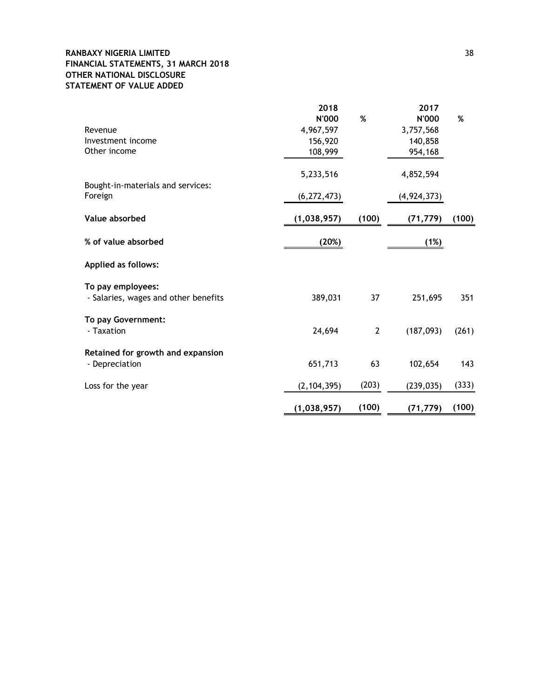## **RANBAXY NIGERIA LIMITED** 38 **FINANCIAL STATEMENTS, 31 MARCH 2018 OTHER NATIONAL DISCLOSURE STATEMENT OF VALUE ADDED**

|                                              | 2018          |                | 2017          |       |
|----------------------------------------------|---------------|----------------|---------------|-------|
|                                              | <b>N'000</b>  | %              | <b>N'000</b>  | %     |
| Revenue                                      | 4,967,597     |                | 3,757,568     |       |
| Investment income                            | 156,920       |                | 140,858       |       |
| Other income                                 | 108,999       |                | 954,168       |       |
|                                              | 5,233,516     |                | 4,852,594     |       |
| Bought-in-materials and services:<br>Foreign | (6, 272, 473) |                | (4, 924, 373) |       |
|                                              |               |                |               |       |
| Value absorbed                               | (1,038,957)   | (100)          | (71, 779)     | (100) |
| % of value absorbed                          | (20%)         |                | (1%)          |       |
| Applied as follows:                          |               |                |               |       |
| To pay employees:                            |               |                |               |       |
| - Salaries, wages and other benefits         | 389,031       | 37             |               | 351   |
| To pay Government:                           |               |                |               |       |
| - Taxation                                   | 24,694        | $\overline{2}$ | (187, 093)    | (261) |
| Retained for growth and expansion            |               |                |               |       |
| - Depreciation                               | 651,713       | 63             |               | 143   |
| Loss for the year                            | (2, 104, 395) | (203)          |               | (333) |
|                                              | (1,038,957)   | (100)          | (71, 779)     | (100) |